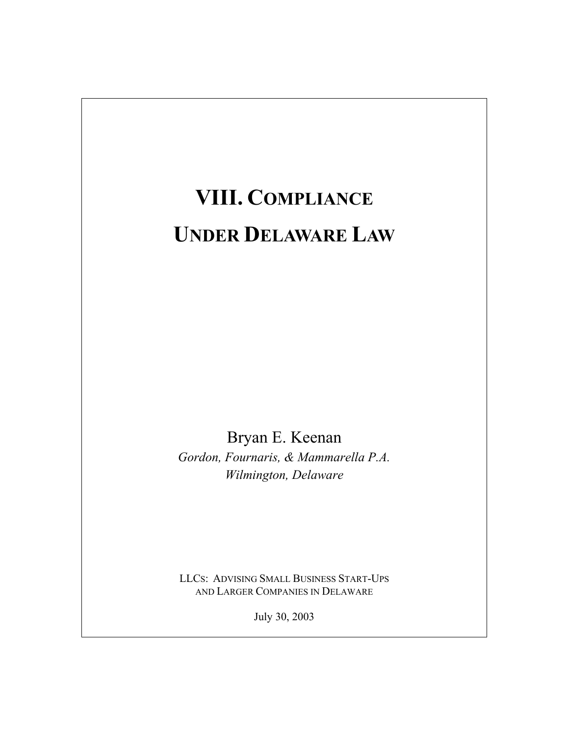# **VIII. COMPLIANCE UNDER DELAWARE LAW**

Bryan E. Keenan *Gordon, Fournaris, & Mammarella P.A. Wilmington, Delaware* 

LLCS: ADVISING SMALL BUSINESS START-UPS AND LARGER COMPANIES IN DELAWARE

July 30, 2003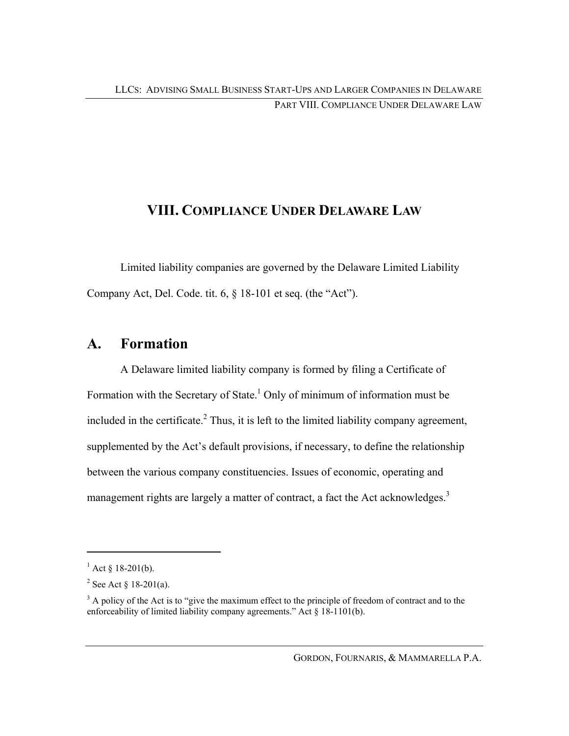## **VIII. COMPLIANCE UNDER DELAWARE LAW**

Limited liability companies are governed by the Delaware Limited Liability Company Act, Del. Code. tit. 6, § 18-101 et seq. (the "Act").

## **A. Formation**

A Delaware limited liability company is formed by filing a Certificate of Formation with the Secretary of State.<sup>1</sup> Only of minimum of information must be included in the certificate. $^{2}$  Thus, it is left to the limited liability company agreement, supplemented by the Act's default provisions, if necessary, to define the relationship between the various company constituencies. Issues of economic, operating and management rights are largely a matter of contract, a fact the Act acknowledges.<sup>3</sup>

 $\overline{a}$ 

<sup>&</sup>lt;sup>1</sup> Act § 18-201(b).

<sup>&</sup>lt;sup>2</sup> See Act  $\S 18-201(a)$ .

 $3$  A policy of the Act is to "give the maximum effect to the principle of freedom of contract and to the enforceability of limited liability company agreements." Act § 18-1101(b).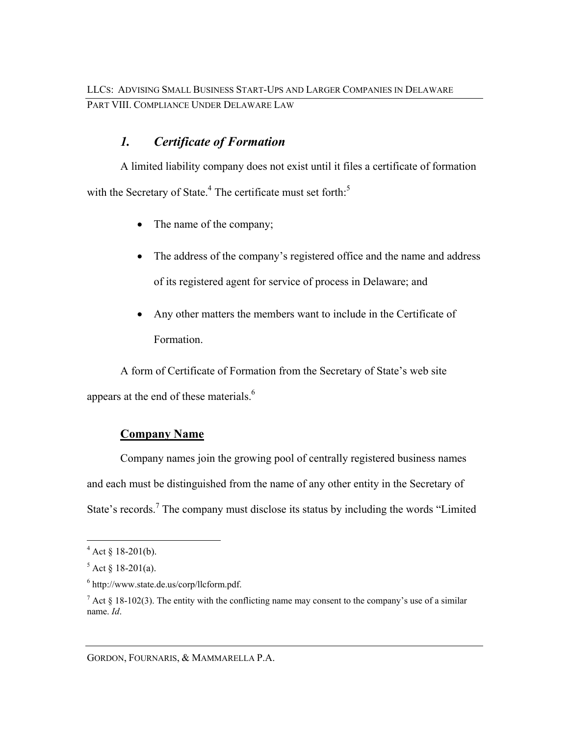## *1. Certificate of Formation*

A limited liability company does not exist until it files a certificate of formation with the Secretary of State.<sup>4</sup> The certificate must set forth:<sup>5</sup>

- The name of the company;
- The address of the company's registered office and the name and address of its registered agent for service of process in Delaware; and
- Any other matters the members want to include in the Certificate of Formation.

A form of Certificate of Formation from the Secretary of State's web site appears at the end of these materials.<sup>6</sup>

## **Company Name**

Company names join the growing pool of centrally registered business names and each must be distinguished from the name of any other entity in the Secretary of State's records.<sup>7</sup> The company must disclose its status by including the words "Limited"

 $\overline{a}$ 

GORDON, FOURNARIS, & MAMMARELLA P.A.

 $4$  Act § 18-201(b).

 $5$  Act § 18-201(a).

<sup>6</sup> http://www.state.de.us/corp/llcform.pdf.

 $^7$  Act § 18-102(3). The entity with the conflicting name may consent to the company's use of a similar name. *Id*.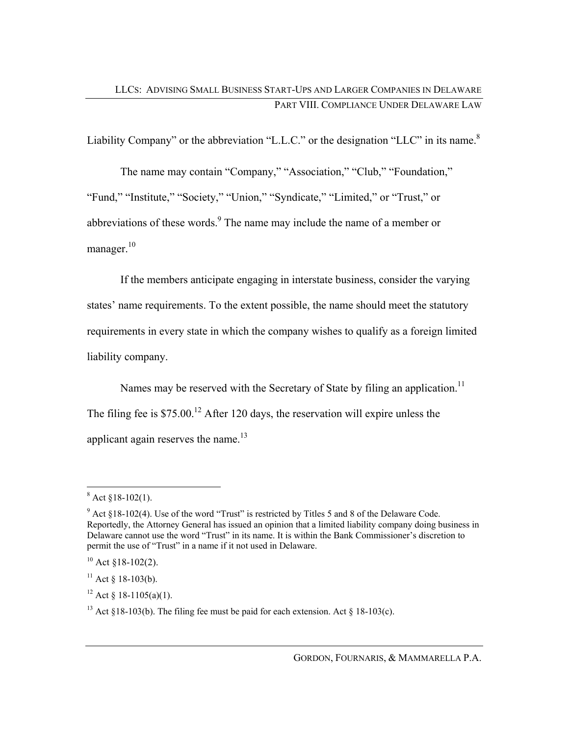Liability Company" or the abbreviation "L.L.C." or the designation "LLC" in its name.<sup>8</sup>

The name may contain "Company," "Association," "Club," "Foundation," "Fund," "Institute," "Society," "Union," "Syndicate," "Limited," or "Trust," or abbreviations of these words. $9$  The name may include the name of a member or manager. $10$ 

If the members anticipate engaging in interstate business, consider the varying states' name requirements. To the extent possible, the name should meet the statutory requirements in every state in which the company wishes to qualify as a foreign limited liability company.

Names may be reserved with the Secretary of State by filing an application.<sup>11</sup> The filing fee is  $$75.00<sup>12</sup>$  After 120 days, the reservation will expire unless the applicant again reserves the name.<sup>13</sup>

 $8 \text{ Act } $18-102(1).$ 

 $9$  Act §18-102(4). Use of the word "Trust" is restricted by Titles 5 and 8 of the Delaware Code. Reportedly, the Attorney General has issued an opinion that a limited liability company doing business in Delaware cannot use the word "Trust" in its name. It is within the Bank Commissioner's discretion to permit the use of "Trust" in a name if it not used in Delaware.

 $10$  Act §18-102(2).

 $11$  Act § 18-103(b).

<sup>&</sup>lt;sup>12</sup> Act § 18-1105(a)(1).

<sup>&</sup>lt;sup>13</sup> Act §18-103(b). The filing fee must be paid for each extension. Act § 18-103(c).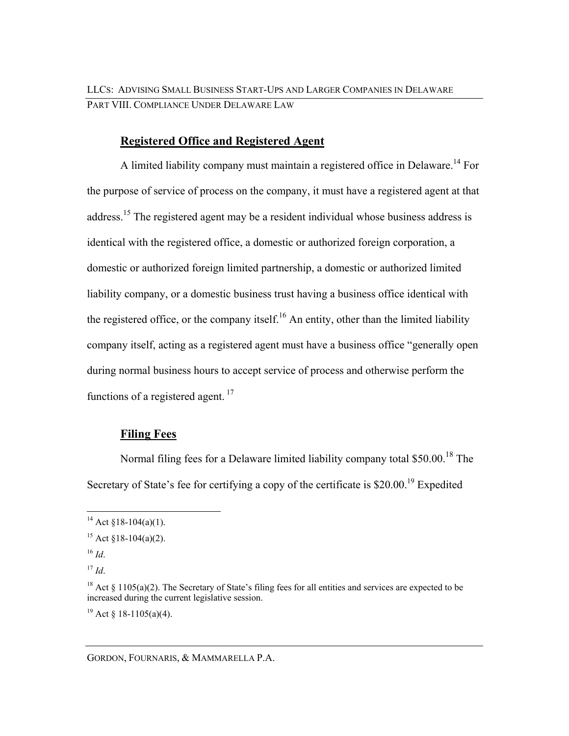### **Registered Office and Registered Agent**

A limited liability company must maintain a registered office in Delaware.<sup>14</sup> For the purpose of service of process on the company, it must have a registered agent at that address.<sup>15</sup> The registered agent may be a resident individual whose business address is identical with the registered office, a domestic or authorized foreign corporation, a domestic or authorized foreign limited partnership, a domestic or authorized limited liability company, or a domestic business trust having a business office identical with the registered office, or the company itself.<sup>16</sup> An entity, other than the limited liability company itself, acting as a registered agent must have a business office "generally open during normal business hours to accept service of process and otherwise perform the functions of a registered agent.<sup>17</sup>

### **Filing Fees**

Normal filing fees for a Delaware limited liability company total \$50.00.18 The Secretary of State's fee for certifying a copy of the certificate is \$20.00.<sup>19</sup> Expedited

 $\overline{a}$ 

<sup>&</sup>lt;sup>14</sup> Act §18-104(a)(1).

<sup>&</sup>lt;sup>15</sup> Act  $$18-104(a)(2)$ .

<sup>16</sup> *Id*.

<sup>17</sup> *Id*.

<sup>&</sup>lt;sup>18</sup> Act  $\S$  1105(a)(2). The Secretary of State's filing fees for all entities and services are expected to be increased during the current legislative session.

<sup>&</sup>lt;sup>19</sup> Act § 18-1105(a)(4).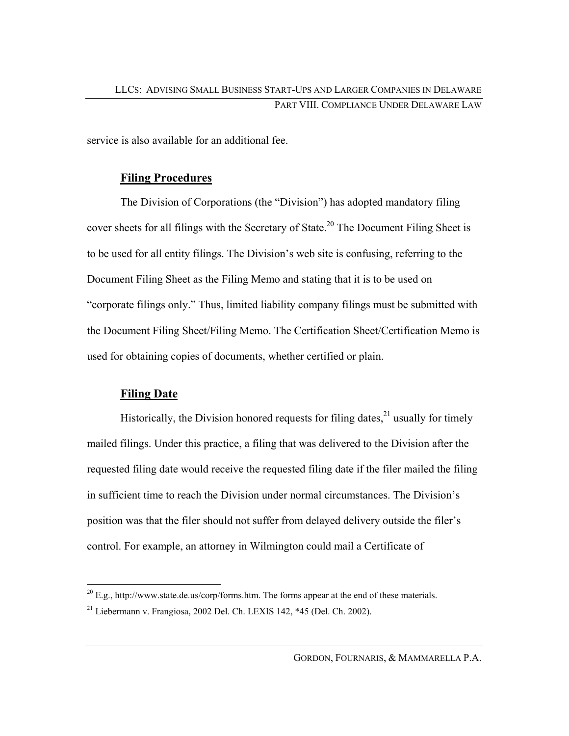service is also available for an additional fee.

### **Filing Procedures**

The Division of Corporations (the "Division") has adopted mandatory filing cover sheets for all filings with the Secretary of State.<sup>20</sup> The Document Filing Sheet is to be used for all entity filings. The Division's web site is confusing, referring to the Document Filing Sheet as the Filing Memo and stating that it is to be used on "corporate filings only." Thus, limited liability company filings must be submitted with the Document Filing Sheet/Filing Memo. The Certification Sheet/Certification Memo is used for obtaining copies of documents, whether certified or plain.

## **Filing Date**

Historically, the Division honored requests for filing dates, $^{21}$  usually for timely mailed filings. Under this practice, a filing that was delivered to the Division after the requested filing date would receive the requested filing date if the filer mailed the filing in sufficient time to reach the Division under normal circumstances. The Division's position was that the filer should not suffer from delayed delivery outside the filer's control. For example, an attorney in Wilmington could mail a Certificate of

 $\overline{a}$  $^{20}$  E.g., http://www.state.de.us/corp/forms.htm. The forms appear at the end of these materials.

 $21$  Liebermann v. Frangiosa, 2002 Del. Ch. LEXIS 142, \*45 (Del. Ch. 2002).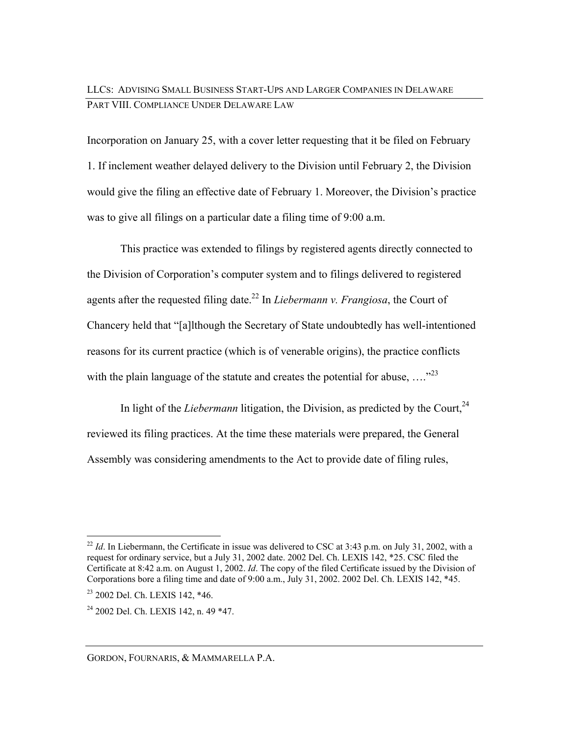## LLCS: ADVISING SMALL BUSINESS START-UPS AND LARGER COMPANIES IN DELAWARE PART VIII. COMPLIANCE UNDER DELAWARE LAW

Incorporation on January 25, with a cover letter requesting that it be filed on February 1. If inclement weather delayed delivery to the Division until February 2, the Division would give the filing an effective date of February 1. Moreover, the Division's practice was to give all filings on a particular date a filing time of 9:00 a.m.

This practice was extended to filings by registered agents directly connected to the Division of Corporation's computer system and to filings delivered to registered agents after the requested filing date.22 In *Liebermann v. Frangiosa*, the Court of Chancery held that "[a]lthough the Secretary of State undoubtedly has well-intentioned reasons for its current practice (which is of venerable origins), the practice conflicts with the plain language of the statute and creates the potential for abuse,  $\ldots$ <sup>23</sup>

In light of the *Liebermann* litigation, the Division, as predicted by the Court,  $24$ reviewed its filing practices. At the time these materials were prepared, the General Assembly was considering amendments to the Act to provide date of filing rules,

 $\overline{a}$ 

<sup>&</sup>lt;sup>22</sup> *Id.* In Liebermann, the Certificate in issue was delivered to CSC at 3:43 p.m. on July 31, 2002, with a request for ordinary service, but a July 31, 2002 date. 2002 Del. Ch. LEXIS 142, \*25. CSC filed the Certificate at 8:42 a.m. on August 1, 2002. *Id*. The copy of the filed Certificate issued by the Division of Corporations bore a filing time and date of 9:00 a.m., July 31, 2002. 2002 Del. Ch. LEXIS 142, \*45.

<sup>23 2002</sup> Del. Ch. LEXIS 142, \*46.

<sup>&</sup>lt;sup>24</sup> 2002 Del. Ch. LEXIS 142, n. 49 \*47.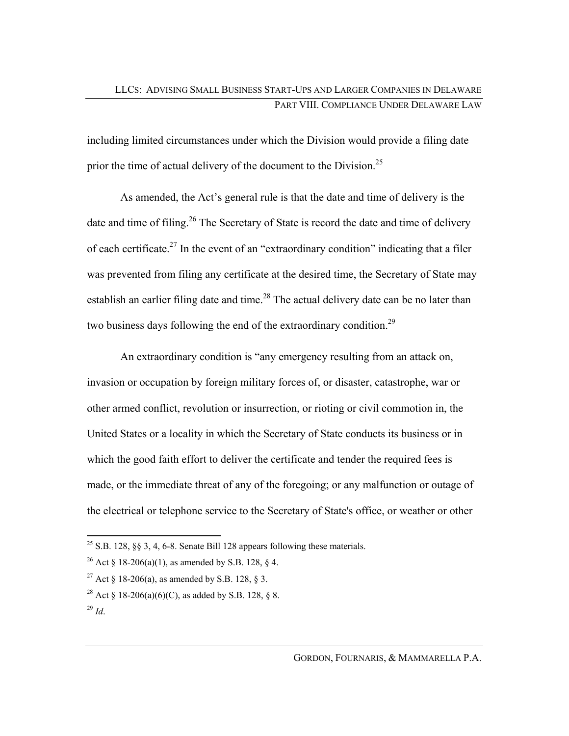including limited circumstances under which the Division would provide a filing date prior the time of actual delivery of the document to the Division.<sup>25</sup>

As amended, the Act's general rule is that the date and time of delivery is the date and time of filing.<sup>26</sup> The Secretary of State is record the date and time of delivery of each certificate.<sup>27</sup> In the event of an "extraordinary condition" indicating that a filer was prevented from filing any certificate at the desired time, the Secretary of State may establish an earlier filing date and time.<sup>28</sup> The actual delivery date can be no later than two business days following the end of the extraordinary condition.<sup>29</sup>

An extraordinary condition is "any emergency resulting from an attack on, invasion or occupation by foreign military forces of, or disaster, catastrophe, war or other armed conflict, revolution or insurrection, or rioting or civil commotion in, the United States or a locality in which the Secretary of State conducts its business or in which the good faith effort to deliver the certificate and tender the required fees is made, or the immediate threat of any of the foregoing; or any malfunction or outage of the electrical or telephone service to the Secretary of State's office, or weather or other

<sup>28</sup> Act § 18-206(a)(6)(C), as added by S.B. 128, § 8.

 $\overline{a}$ <sup>25</sup> S.B. 128, §§ 3, 4, 6-8. Senate Bill 128 appears following these materials.

<sup>&</sup>lt;sup>26</sup> Act § 18-206(a)(1), as amended by S.B. 128, § 4.

<sup>&</sup>lt;sup>27</sup> Act § 18-206(a), as amended by S.B. 128, § 3.

<sup>29</sup> *Id*.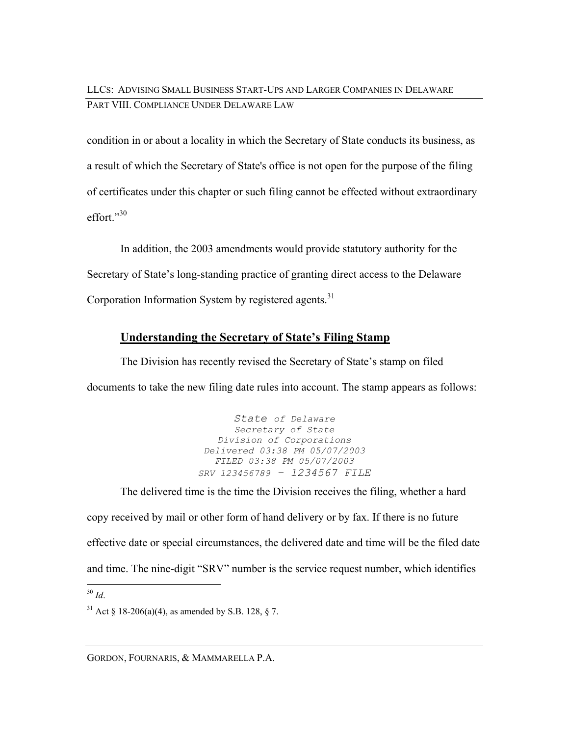LLCS: ADVISING SMALL BUSINESS START-UPS AND LARGER COMPANIES IN DELAWARE PART VIII. COMPLIANCE UNDER DELAWARE LAW

condition in or about a locality in which the Secretary of State conducts its business, as a result of which the Secretary of State's office is not open for the purpose of the filing of certificates under this chapter or such filing cannot be effected without extraordinary effort."30

In addition, the 2003 amendments would provide statutory authority for the Secretary of State's long-standing practice of granting direct access to the Delaware Corporation Information System by registered agents. $31$ 

### **Understanding the Secretary of State's Filing Stamp**

The Division has recently revised the Secretary of State's stamp on filed documents to take the new filing date rules into account. The stamp appears as follows:

> *State of Delaware Secretary of State Division of Corporations Delivered 03:38 PM 05/07/2003 FILED 03:38 PM 05/07/2003 SRV 123456789 – 1234567 FILE*

The delivered time is the time the Division receives the filing, whether a hard copy received by mail or other form of hand delivery or by fax. If there is no future effective date or special circumstances, the delivered date and time will be the filed date and time. The nine-digit "SRV" number is the service request number, which identifies

GORDON, FOURNARIS, & MAMMARELLA P.A.

 $\overline{a}$ <sup>30</sup> *Id*.

<sup>&</sup>lt;sup>31</sup> Act § 18-206(a)(4), as amended by S.B. 128, § 7.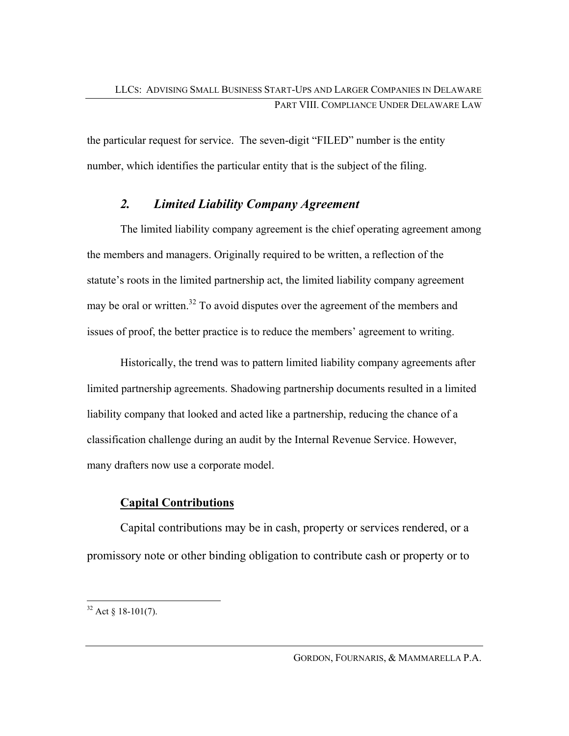the particular request for service. The seven-digit "FILED" number is the entity number, which identifies the particular entity that is the subject of the filing.

## *2. Limited Liability Company Agreement*

The limited liability company agreement is the chief operating agreement among the members and managers. Originally required to be written, a reflection of the statute's roots in the limited partnership act, the limited liability company agreement may be oral or written.<sup>32</sup> To avoid disputes over the agreement of the members and issues of proof, the better practice is to reduce the members' agreement to writing.

Historically, the trend was to pattern limited liability company agreements after limited partnership agreements. Shadowing partnership documents resulted in a limited liability company that looked and acted like a partnership, reducing the chance of a classification challenge during an audit by the Internal Revenue Service. However, many drafters now use a corporate model.

## **Capital Contributions**

Capital contributions may be in cash, property or services rendered, or a promissory note or other binding obligation to contribute cash or property or to

 $\overline{a}$  $32$  Act § 18-101(7).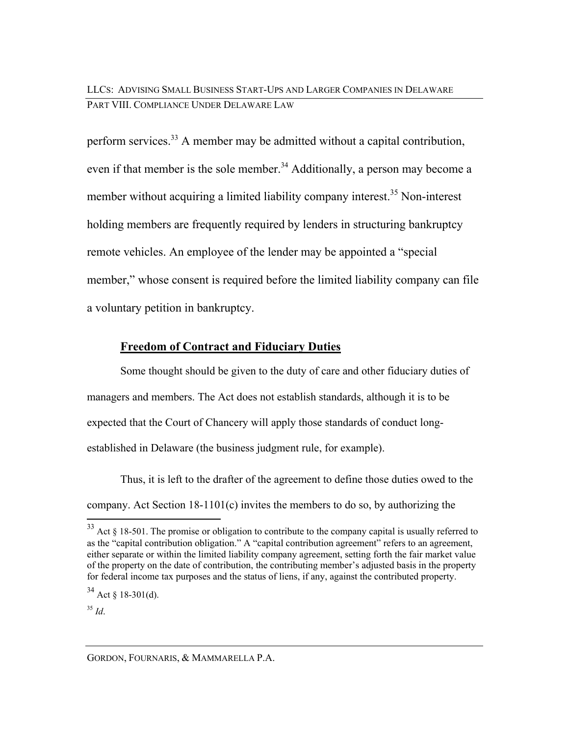LLCS: ADVISING SMALL BUSINESS START-UPS AND LARGER COMPANIES IN DELAWARE PART VIII. COMPLIANCE UNDER DELAWARE LAW

perform services.33 A member may be admitted without a capital contribution, even if that member is the sole member.<sup>34</sup> Additionally, a person may become a member without acquiring a limited liability company interest.<sup>35</sup> Non-interest holding members are frequently required by lenders in structuring bankruptcy remote vehicles. An employee of the lender may be appointed a "special member," whose consent is required before the limited liability company can file a voluntary petition in bankruptcy.

### **Freedom of Contract and Fiduciary Duties**

Some thought should be given to the duty of care and other fiduciary duties of managers and members. The Act does not establish standards, although it is to be expected that the Court of Chancery will apply those standards of conduct longestablished in Delaware (the business judgment rule, for example).

Thus, it is left to the drafter of the agreement to define those duties owed to the company. Act Section 18-1101(c) invites the members to do so, by authorizing the  $\overline{a}$ 

<sup>35</sup> *Id*.

 $33$  Act § 18-501. The promise or obligation to contribute to the company capital is usually referred to as the "capital contribution obligation." A "capital contribution agreement" refers to an agreement, either separate or within the limited liability company agreement, setting forth the fair market value of the property on the date of contribution, the contributing member's adjusted basis in the property for federal income tax purposes and the status of liens, if any, against the contributed property.

 $34$  Act § 18-301(d).

GORDON, FOURNARIS, & MAMMARELLA P.A.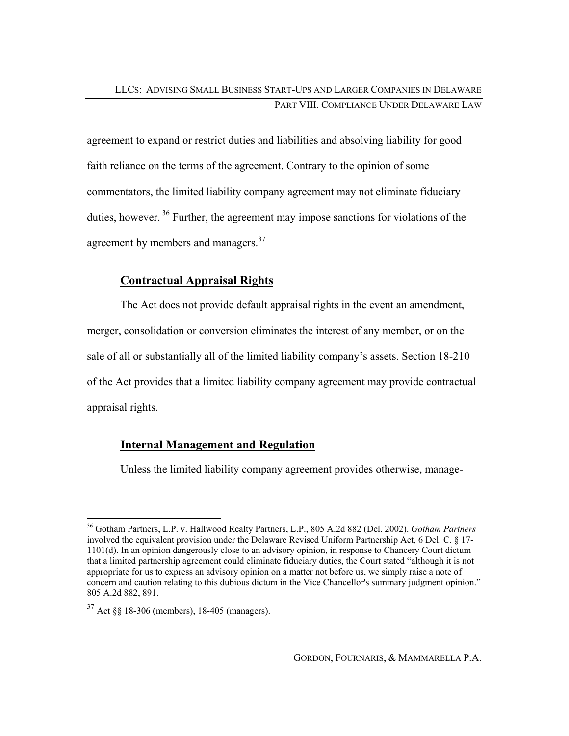agreement to expand or restrict duties and liabilities and absolving liability for good faith reliance on the terms of the agreement. Contrary to the opinion of some commentators, the limited liability company agreement may not eliminate fiduciary duties, however.  $36$  Further, the agreement may impose sanctions for violations of the agreement by members and managers.<sup>37</sup>

## **Contractual Appraisal Rights**

The Act does not provide default appraisal rights in the event an amendment, merger, consolidation or conversion eliminates the interest of any member, or on the sale of all or substantially all of the limited liability company's assets. Section 18-210 of the Act provides that a limited liability company agreement may provide contractual appraisal rights.

## **Internal Management and Regulation**

Unless the limited liability company agreement provides otherwise, manage-

 $\overline{a}$ 36 Gotham Partners, L.P. v. Hallwood Realty Partners, L.P., 805 A.2d 882 (Del. 2002). *Gotham Partners* involved the equivalent provision under the Delaware Revised Uniform Partnership Act, 6 Del. C. § 17- 1101(d). In an opinion dangerously close to an advisory opinion, in response to Chancery Court dictum that a limited partnership agreement could eliminate fiduciary duties, the Court stated "although it is not appropriate for us to express an advisory opinion on a matter not before us, we simply raise a note of concern and caution relating to this dubious dictum in the Vice Chancellor's summary judgment opinion." 805 A.2d 882, 891.

<sup>37</sup> Act §§ 18-306 (members), 18-405 (managers).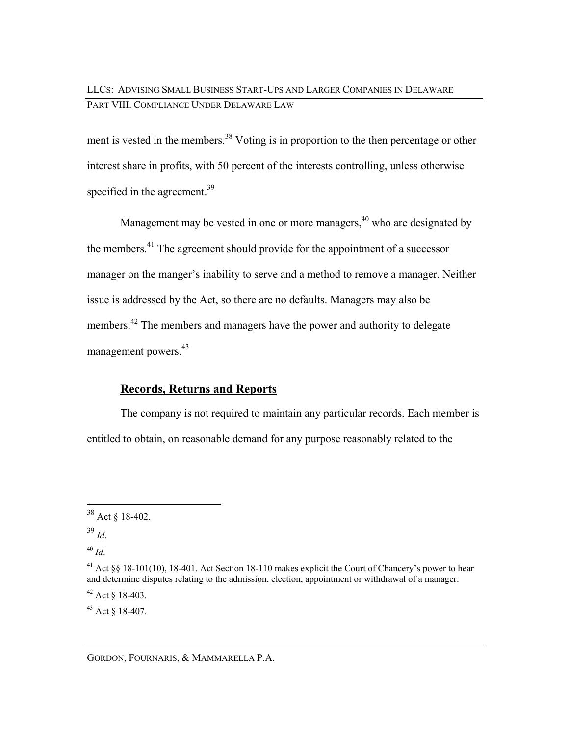## LLCS: ADVISING SMALL BUSINESS START-UPS AND LARGER COMPANIES IN DELAWARE PART VIII. COMPLIANCE UNDER DELAWARE LAW

ment is vested in the members.<sup>38</sup> Voting is in proportion to the then percentage or other interest share in profits, with 50 percent of the interests controlling, unless otherwise specified in the agreement.<sup>39</sup>

Management may be vested in one or more managers, $40$  who are designated by the members.<sup>41</sup> The agreement should provide for the appointment of a successor manager on the manger's inability to serve and a method to remove a manager. Neither issue is addressed by the Act, so there are no defaults. Managers may also be members.<sup>42</sup> The members and managers have the power and authority to delegate management powers.<sup>43</sup>

### **Records, Returns and Reports**

The company is not required to maintain any particular records. Each member is entitled to obtain, on reasonable demand for any purpose reasonably related to the

 $\overline{a}$ 

<sup>43</sup> Act § 18-407.

 $38$  Act § 18-402.

<sup>39</sup> *Id*.

<sup>40</sup> *Id*.

<sup>&</sup>lt;sup>41</sup> Act §§ 18-101(10), 18-401. Act Section 18-110 makes explicit the Court of Chancery's power to hear and determine disputes relating to the admission, election, appointment or withdrawal of a manager.  $42$  Act  $8$  18-403.

GORDON, FOURNARIS, & MAMMARELLA P.A.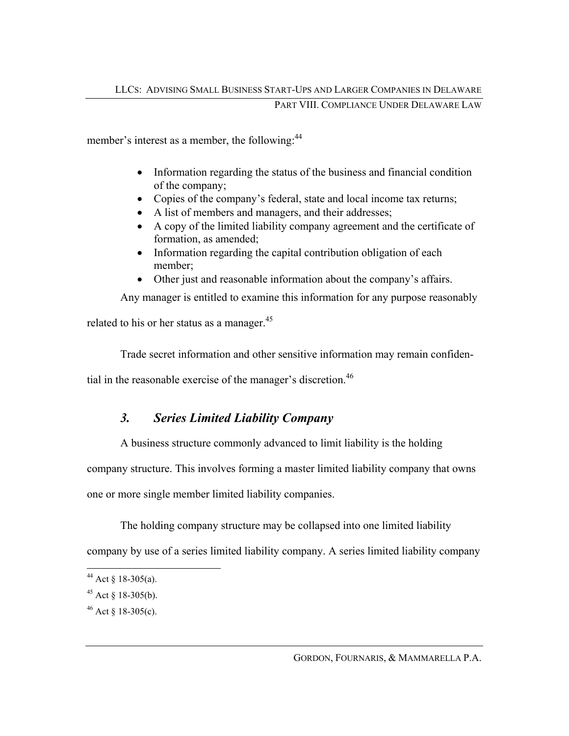member's interest as a member, the following:<sup>44</sup>

- Information regarding the status of the business and financial condition of the company;
- Copies of the company's federal, state and local income tax returns;
- A list of members and managers, and their addresses;
- A copy of the limited liability company agreement and the certificate of formation, as amended;
- Information regarding the capital contribution obligation of each member;
- Other just and reasonable information about the company's affairs.

Any manager is entitled to examine this information for any purpose reasonably

related to his or her status as a manager. $45$ 

Trade secret information and other sensitive information may remain confiden-

tial in the reasonable exercise of the manager's discretion.<sup>46</sup>

## *3. Series Limited Liability Company*

A business structure commonly advanced to limit liability is the holding

company structure. This involves forming a master limited liability company that owns

one or more single member limited liability companies.

The holding company structure may be collapsed into one limited liability

company by use of a series limited liability company. A series limited liability company

 $\overline{a}$ 

<sup>&</sup>lt;sup>44</sup> Act  $\S$  18-305(a).

 $45$  Act § 18-305(b).

 $46$  Act § 18-305(c).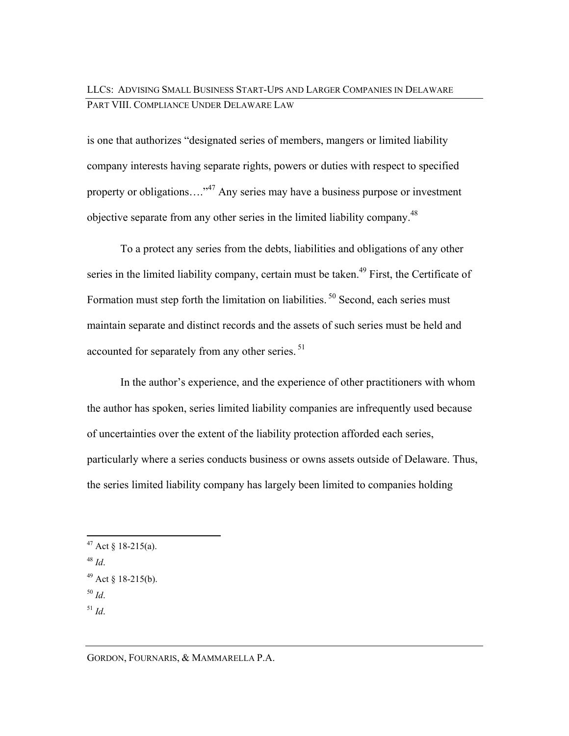## LLCS: ADVISING SMALL BUSINESS START-UPS AND LARGER COMPANIES IN DELAWARE PART VIII. COMPLIANCE UNDER DELAWARE LAW

is one that authorizes "designated series of members, mangers or limited liability company interests having separate rights, powers or duties with respect to specified property or obligations....<sup>47</sup> Any series may have a business purpose or investment objective separate from any other series in the limited liability company.<sup>48</sup>

To a protect any series from the debts, liabilities and obligations of any other series in the limited liability company, certain must be taken.<sup>49</sup> First, the Certificate of Formation must step forth the limitation on liabilities.<sup>50</sup> Second, each series must maintain separate and distinct records and the assets of such series must be held and accounted for separately from any other series.<sup>51</sup>

In the author's experience, and the experience of other practitioners with whom the author has spoken, series limited liability companies are infrequently used because of uncertainties over the extent of the liability protection afforded each series, particularly where a series conducts business or owns assets outside of Delaware. Thus, the series limited liability company has largely been limited to companies holding

 $\overline{a}$ 

GORDON, FOURNARIS, & MAMMARELLA P.A.

<sup>&</sup>lt;sup>47</sup> Act § 18-215(a).

<sup>48</sup> *Id*.

 $49$  Act § 18-215(b).

<sup>50</sup> *Id*.

 $^{51}$  *Id*.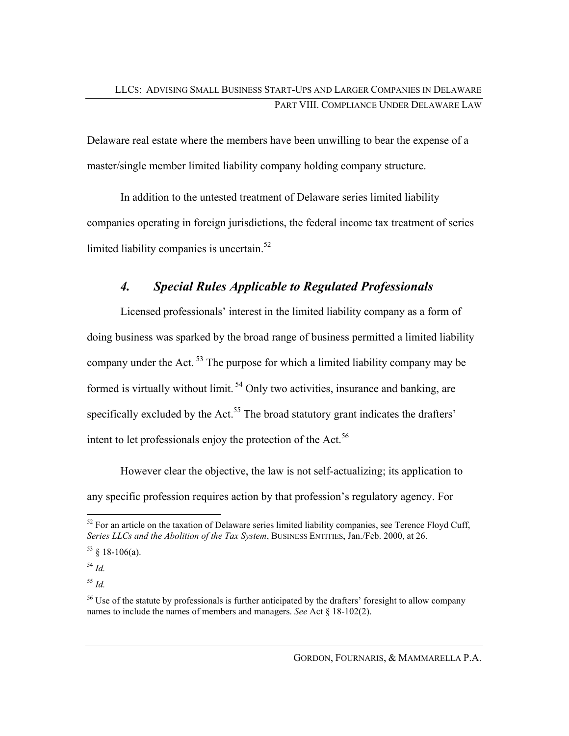Delaware real estate where the members have been unwilling to bear the expense of a master/single member limited liability company holding company structure.

In addition to the untested treatment of Delaware series limited liability companies operating in foreign jurisdictions, the federal income tax treatment of series limited liability companies is uncertain.<sup>52</sup>

## *4. Special Rules Applicable to Regulated Professionals*

Licensed professionals' interest in the limited liability company as a form of doing business was sparked by the broad range of business permitted a limited liability company under the Act.  $53$  The purpose for which a limited liability company may be formed is virtually without limit.  $54$  Only two activities, insurance and banking, are specifically excluded by the Act.<sup>55</sup> The broad statutory grant indicates the drafters' intent to let professionals enjoy the protection of the Act.<sup>56</sup>

However clear the objective, the law is not self-actualizing; its application to any specific profession requires action by that profession's regulatory agency. For

 $\overline{a}$ 

<sup>55</sup> *Id.*

 $52$  For an article on the taxation of Delaware series limited liability companies, see Terence Floyd Cuff, *Series LLCs and the Abolition of the Tax System*, BUSINESS ENTITIES, Jan./Feb. 2000, at 26.

 $53 \& 18 - 106$ (a).

<sup>54</sup> *Id.*

<sup>&</sup>lt;sup>56</sup> Use of the statute by professionals is further anticipated by the drafters' foresight to allow company names to include the names of members and managers. *See* Act § 18-102(2).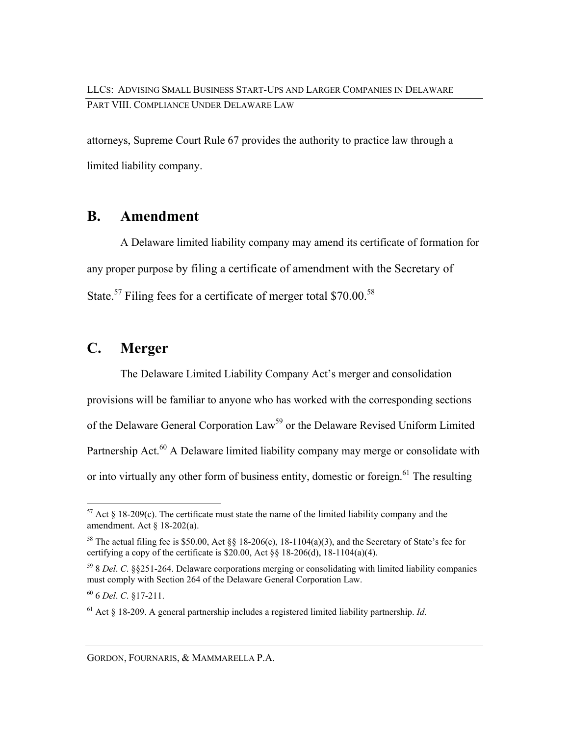attorneys, Supreme Court Rule 67 provides the authority to practice law through a limited liability company.

## **B. Amendment**

A Delaware limited liability company may amend its certificate of formation for any proper purpose by filing a certificate of amendment with the Secretary of State.<sup>57</sup> Filing fees for a certificate of merger total  $$70.00$ .<sup>58</sup>

## **C. Merger**

The Delaware Limited Liability Company Act's merger and consolidation provisions will be familiar to anyone who has worked with the corresponding sections of the Delaware General Corporation Law<sup>59</sup> or the Delaware Revised Uniform Limited Partnership Act.<sup>60</sup> A Delaware limited liability company may merge or consolidate with or into virtually any other form of business entity, domestic or foreign.<sup>61</sup> The resulting

60 6 *Del*. *C*. §17-211.

 $\overline{a}$ 

 $57$  Act § 18-209(c). The certificate must state the name of the limited liability company and the amendment. Act § 18-202(a).

<sup>&</sup>lt;sup>58</sup> The actual filing fee is \$50.00, Act §§ 18-206(c), 18-1104(a)(3), and the Secretary of State's fee for certifying a copy of the certificate is \$20.00, Act  $\S$  18-206(d), 18-1104(a)(4).

<sup>59 8</sup> *Del*. *C*. §§251-264. Delaware corporations merging or consolidating with limited liability companies must comply with Section 264 of the Delaware General Corporation Law.

<sup>61</sup> Act § 18-209. A general partnership includes a registered limited liability partnership. *Id*.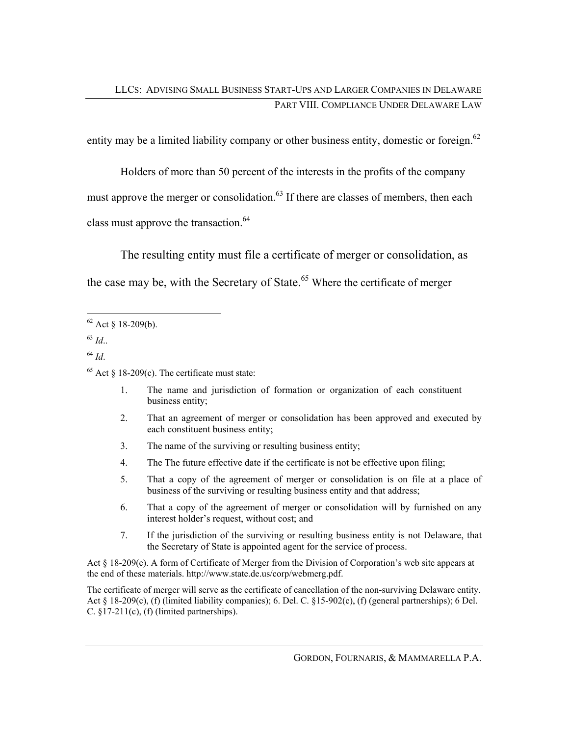entity may be a limited liability company or other business entity, domestic or foreign.<sup>62</sup>

Holders of more than 50 percent of the interests in the profits of the company must approve the merger or consolidation. $63$  If there are classes of members, then each class must approve the transaction.<sup>64</sup>

The resulting entity must file a certificate of merger or consolidation, as the case may be, with the Secretary of State.<sup>65</sup> Where the certificate of merger

<sup>63</sup> *Id*..

<sup>64</sup> *Id*.

- 1. The name and jurisdiction of formation or organization of each constituent business entity;
- 2. That an agreement of merger or consolidation has been approved and executed by each constituent business entity;
- 3. The name of the surviving or resulting business entity;
- 4. The The future effective date if the certificate is not be effective upon filing;
- 5. That a copy of the agreement of merger or consolidation is on file at a place of business of the surviving or resulting business entity and that address;
- 6. That a copy of the agreement of merger or consolidation will by furnished on any interest holder's request, without cost; and
- 7. If the jurisdiction of the surviving or resulting business entity is not Delaware, that the Secretary of State is appointed agent for the service of process.

Act § 18-209(c). A form of Certificate of Merger from the Division of Corporation's web site appears at the end of these materials. http://www.state.de.us/corp/webmerg.pdf.

The certificate of merger will serve as the certificate of cancellation of the non-surviving Delaware entity. Act § 18-209(c), (f) (limited liability companies); 6. Del. C. §15-902(c), (f) (general partnerships); 6 Del. C.  $§17-211(c)$ , (f) (limited partnerships).

 $\overline{a}$  $62$  Act § 18-209(b).

 $65$  Act § 18-209(c). The certificate must state: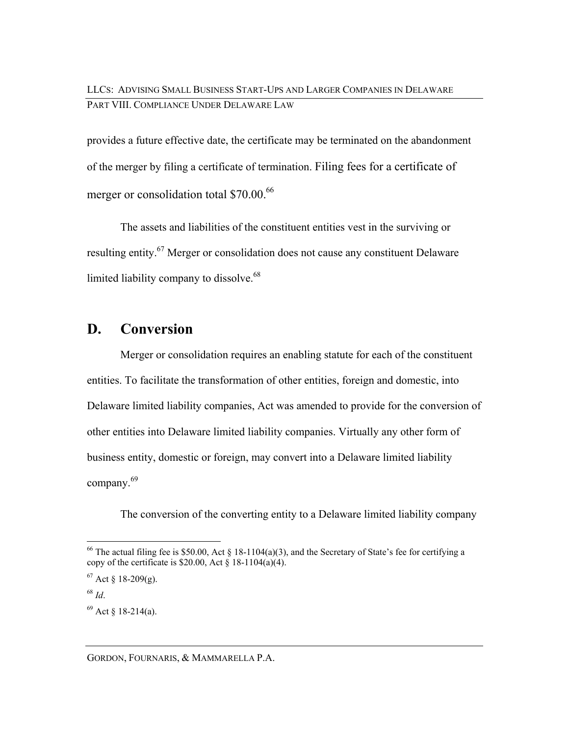provides a future effective date, the certificate may be terminated on the abandonment of the merger by filing a certificate of termination. Filing fees for a certificate of merger or consolidation total \$70.00.<sup>66</sup>

The assets and liabilities of the constituent entities vest in the surviving or resulting entity.<sup>67</sup> Merger or consolidation does not cause any constituent Delaware limited liability company to dissolve.<sup>68</sup>

## **D. Conversion**

Merger or consolidation requires an enabling statute for each of the constituent entities. To facilitate the transformation of other entities, foreign and domestic, into Delaware limited liability companies, Act was amended to provide for the conversion of other entities into Delaware limited liability companies. Virtually any other form of business entity, domestic or foreign, may convert into a Delaware limited liability company.<sup>69</sup>

The conversion of the converting entity to a Delaware limited liability company

GORDON, FOURNARIS, & MAMMARELLA P.A.

 $\overline{a}$ <sup>66</sup> The actual filing fee is \$50.00, Act § 18-1104(a)(3), and the Secretary of State's fee for certifying a copy of the certificate is \$20.00, Act  $\hat{\gamma}$  18-1104(a)(4).

 $67$  Act § 18-209(g).

<sup>68</sup> *Id*.

 $69$  Act § 18-214(a).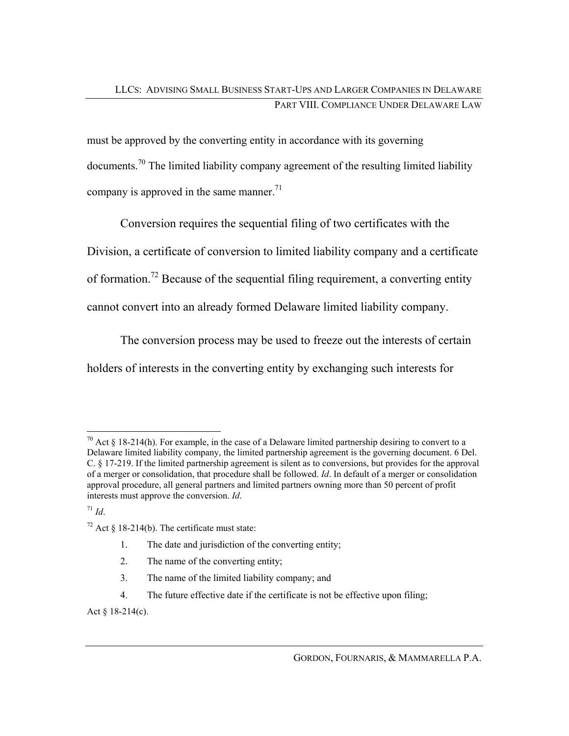must be approved by the converting entity in accordance with its governing documents.70 The limited liability company agreement of the resulting limited liability company is approved in the same manner.<sup>71</sup>

Conversion requires the sequential filing of two certificates with the Division, a certificate of conversion to limited liability company and a certificate of formation.<sup>72</sup> Because of the sequential filing requirement, a converting entity cannot convert into an already formed Delaware limited liability company.

The conversion process may be used to freeze out the interests of certain

holders of interests in the converting entity by exchanging such interests for

 $171$  *Id.* 

- 1. The date and jurisdiction of the converting entity;
- 2. The name of the converting entity;
- 3. The name of the limited liability company; and
- 4. The future effective date if the certificate is not be effective upon filing;

Act § 18-214(c).

 $\overline{a}$ <sup>70</sup> Act § 18-214(h). For example, in the case of a Delaware limited partnership desiring to convert to a Delaware limited liability company, the limited partnership agreement is the governing document. 6 Del. C. § 17-219. If the limited partnership agreement is silent as to conversions, but provides for the approval of a merger or consolidation, that procedure shall be followed. *Id*. In default of a merger or consolidation approval procedure, all general partners and limited partners owning more than 50 percent of profit interests must approve the conversion. *Id*.

 $72$  Act § 18-214(b). The certificate must state: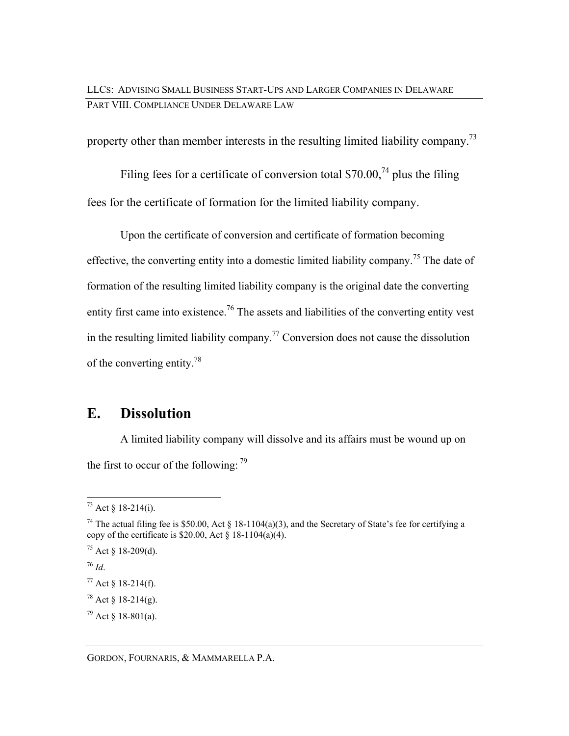property other than member interests in the resulting limited liability company.<sup>73</sup>

Filing fees for a certificate of conversion total \$70.00,<sup>74</sup> plus the filing fees for the certificate of formation for the limited liability company.

Upon the certificate of conversion and certificate of formation becoming effective, the converting entity into a domestic limited liability company.<sup>75</sup> The date of formation of the resulting limited liability company is the original date the converting entity first came into existence.<sup>76</sup> The assets and liabilities of the converting entity vest in the resulting limited liability company.<sup>77</sup> Conversion does not cause the dissolution of the converting entity.78

## **E. Dissolution**

A limited liability company will dissolve and its affairs must be wound up on the first to occur of the following:  $79$ 

<sup>76</sup> *Id*.

GORDON, FOURNARIS, & MAMMARELLA P.A.

 $\overline{a}$  $^{73}$  Act § 18-214(i).

<sup>&</sup>lt;sup>74</sup> The actual filing fee is \$50.00, Act § 18-1104(a)(3), and the Secretary of State's fee for certifying a copy of the certificate is  $$20.00$ , Act  $$18-1104(a)(4)$ .

 $75$  Act § 18-209(d).

 $77$  Act § 18-214(f).

 $78$  Act § 18-214(g).

 $79$  Act  $\delta$  18-801(a).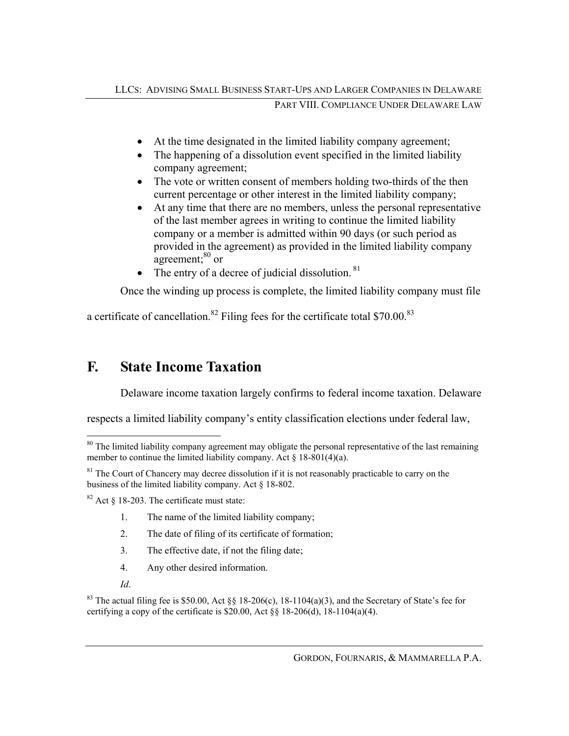- At the time designated in the limited liability company agreement;
- The happening of a dissolution event specified in the limited liability company agreement;
- The vote or written consent of members holding two-thirds of the then current percentage or other interest in the limited liability company;
- At any time that there are no members, unless the personal representative of the last member agrees in writing to continue the limited liability company or a member is admitted within 90 days (or such period as provided in the agreement) as provided in the limited liability company agreement; $80$  or
- The entry of a decree of judicial dissolution.  $81$

Once the winding up process is complete, the limited liability company must file

a certificate of cancellation.<sup>82</sup> Filing fees for the certificate total \$70.00.<sup>83</sup>

## **F. State Income Taxation**

Delaware income taxation largely confirms to federal income taxation. Delaware

respects a limited liability company's entity classification elections under federal law,

- 1. The name of the limited liability company;
- 2. The date of filing of its certificate of formation;
- 3. The effective date, if not the filing date;
- 4. Any other desired information.
- *Id*.

 $\overline{a}$ 

<sup>83</sup> The actual filing fee is \$50.00, Act  $\delta\delta$  18-206(c), 18-1104(a)(3), and the Secretary of State's fee for certifying a copy of the certificate is \$20.00, Act  $\S$  18-206(d), 18-1104(a)(4).

<sup>&</sup>lt;sup>80</sup> The limited liability company agreement may obligate the personal representative of the last remaining member to continue the limited liability company. Act  $\S$  18-801(4)(a).

<sup>&</sup>lt;sup>81</sup> The Court of Chancery may decree dissolution if it is not reasonably practicable to carry on the business of the limited liability company. Act § 18-802.

 $82$  Act § 18-203. The certificate must state: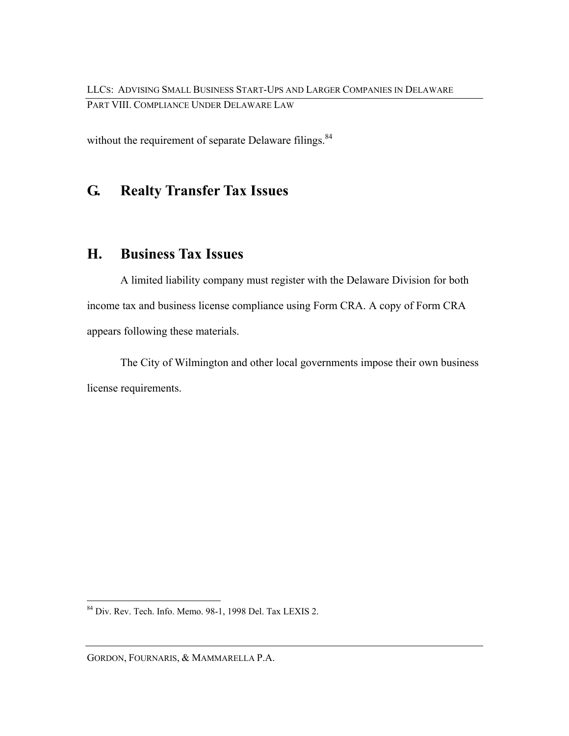without the requirement of separate Delaware filings.<sup>84</sup>

## **G. Realty Transfer Tax Issues**

## **H. Business Tax Issues**

A limited liability company must register with the Delaware Division for both income tax and business license compliance using Form CRA. A copy of Form CRA appears following these materials.

The City of Wilmington and other local governments impose their own business license requirements.

 $\overline{a}$ 

<sup>84</sup> Div. Rev. Tech. Info. Memo. 98-1, 1998 Del. Tax LEXIS 2.

GORDON, FOURNARIS, & MAMMARELLA P.A.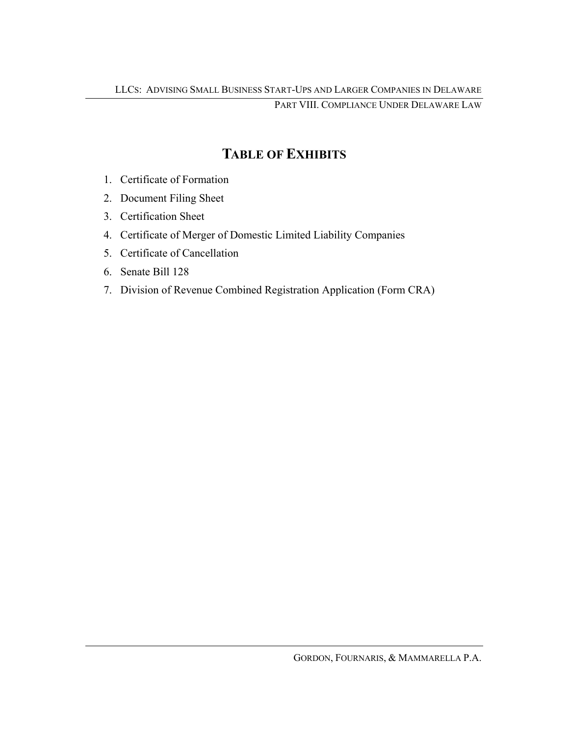## **TABLE OF EXHIBITS**

- 1. Certificate of Formation
- 2. Document Filing Sheet
- 3. Certification Sheet
- 4. Certificate of Merger of Domestic Limited Liability Companies
- 5. Certificate of Cancellation
- 6. Senate Bill 128
- 7. Division of Revenue Combined Registration Application (Form CRA)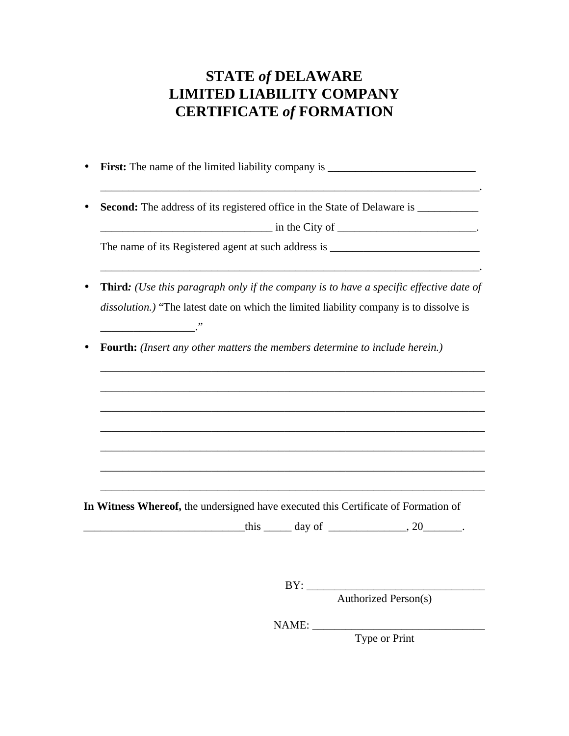## **STATE** *of* **DELAWARE LIMITED LIABILITY COMPANY CERTIFICATE** *of* **FORMATION**

- **First:** The name of the limited liability company is \_\_\_\_\_\_\_\_\_\_\_\_\_\_\_\_\_\_\_\_\_\_\_\_\_
- **Second:** The address of its registered office in the State of Delaware is \_\_\_\_\_\_\_\_\_\_\_

\_\_\_\_\_\_\_\_\_\_\_\_\_\_\_\_\_\_\_\_\_\_\_\_\_\_\_\_\_\_\_ in the City of \_\_\_\_\_\_\_\_\_\_\_\_\_\_\_\_\_\_\_\_\_\_\_\_\_. The name of its Registered agent at such address is \_\_\_\_\_\_\_\_\_\_\_\_\_\_\_\_\_\_\_\_\_\_\_\_\_\_\_\_\_

\_\_\_\_\_\_\_\_\_\_\_\_\_\_\_\_\_\_\_\_\_\_\_\_\_\_\_\_\_\_\_\_\_\_\_\_\_\_\_\_\_\_\_\_\_\_\_\_\_\_\_\_\_\_\_\_\_\_\_\_\_\_\_\_\_\_\_\_.

\_\_\_\_\_\_\_\_\_\_\_\_\_\_\_\_\_\_\_\_\_\_\_\_\_\_\_\_\_\_\_\_\_\_\_\_\_\_\_\_\_\_\_\_\_\_\_\_\_\_\_\_\_\_\_\_\_\_\_\_\_\_\_\_\_\_\_\_\_

\_\_\_\_\_\_\_\_\_\_\_\_\_\_\_\_\_\_\_\_\_\_\_\_\_\_\_\_\_\_\_\_\_\_\_\_\_\_\_\_\_\_\_\_\_\_\_\_\_\_\_\_\_\_\_\_\_\_\_\_\_\_\_\_\_\_\_\_\_

\_\_\_\_\_\_\_\_\_\_\_\_\_\_\_\_\_\_\_\_\_\_\_\_\_\_\_\_\_\_\_\_\_\_\_\_\_\_\_\_\_\_\_\_\_\_\_\_\_\_\_\_\_\_\_\_\_\_\_\_\_\_\_\_\_\_\_\_\_

\_\_\_\_\_\_\_\_\_\_\_\_\_\_\_\_\_\_\_\_\_\_\_\_\_\_\_\_\_\_\_\_\_\_\_\_\_\_\_\_\_\_\_\_\_\_\_\_\_\_\_\_\_\_\_\_\_\_\_\_\_\_\_\_\_\_\_\_\_

\_\_\_\_\_\_\_\_\_\_\_\_\_\_\_\_\_\_\_\_\_\_\_\_\_\_\_\_\_\_\_\_\_\_\_\_\_\_\_\_\_\_\_\_\_\_\_\_\_\_\_\_\_\_\_\_\_\_\_\_\_\_\_\_\_\_\_\_\_

\_\_\_\_\_\_\_\_\_\_\_\_\_\_\_\_\_\_\_\_\_\_\_\_\_\_\_\_\_\_\_\_\_\_\_\_\_\_\_\_\_\_\_\_\_\_\_\_\_\_\_\_\_\_\_\_\_\_\_\_\_\_\_\_\_\_\_\_\_

\_\_\_\_\_\_\_\_\_\_\_\_\_\_\_\_\_\_\_\_\_\_\_\_\_\_\_\_\_\_\_\_\_\_\_\_\_\_\_\_\_\_\_\_\_\_\_\_\_\_\_\_\_\_\_\_\_\_\_\_\_\_\_\_\_\_\_\_\_

\_\_\_\_\_\_\_\_\_\_\_\_\_\_\_\_\_\_\_\_\_\_\_\_\_\_\_\_\_\_\_\_\_\_\_\_\_\_\_\_\_\_\_\_\_\_\_\_\_\_\_\_\_\_\_\_\_\_\_\_\_\_\_\_\_\_\_\_.

- **Third***: (Use this paragraph only if the company is to have a specific effective date of dissolution.)* "The latest date on which the limited liability company is to dissolve is
- **Fourth:** *(Insert any other matters the members determine to include herein.)*

 $\overline{\phantom{a}}$ 

**In Witness Whereof,** the undersigned have executed this Certificate of Formation of

 $\underline{\text{this}}$  day of  $\qquad \qquad$ , 20

 $BY:$ 

Authorized Person(s)

NAME: \_\_\_\_\_\_\_\_\_\_\_\_\_\_\_\_\_\_\_\_\_\_\_\_\_\_\_\_\_\_\_

Type or Print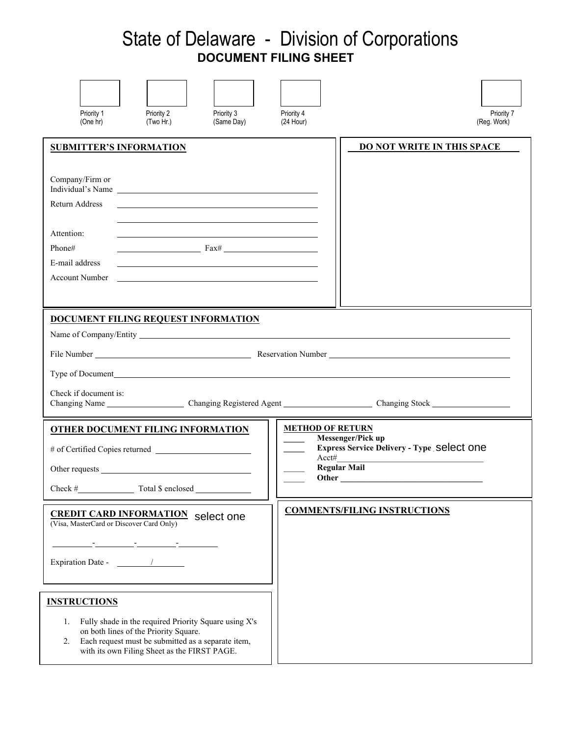## State of Delaware - Division of Corporations  **DOCUMENT FILING SHEET**

| Priority 1<br>(One hr)                                                                                           | Priority 2<br>(Two Hr.)                                                                                                                                                                              | Priority 3<br>(Same Day) | Priority 4<br>$(24$ Hour) | Priority 7<br>(Reg. Work)                                                                                                         |
|------------------------------------------------------------------------------------------------------------------|------------------------------------------------------------------------------------------------------------------------------------------------------------------------------------------------------|--------------------------|---------------------------|-----------------------------------------------------------------------------------------------------------------------------------|
| <b>SUBMITTER'S INFORMATION</b><br>Company/Firm or<br>Individual's Name<br>Return Address<br>Attention:<br>Phone# | $\frac{1}{2}$ Fax#                                                                                                                                                                                   |                          |                           | <b>DO NOT WRITE IN THIS SPACE</b>                                                                                                 |
| E-mail address<br><b>Account Number</b>                                                                          | <u> 1989 - Johann John Stein, mars and de British and de British and de British and de British and de British an</u>                                                                                 |                          |                           |                                                                                                                                   |
| Type of Document <b>Type of Document</b><br>Check if document is:                                                |                                                                                                                                                                                                      |                          |                           |                                                                                                                                   |
| <b>OTHER DOCUMENT FILING INFORMATION</b><br># of Certified Copies returned<br>Other requests<br>Check #          | Total \$ enclosed                                                                                                                                                                                    |                          |                           | <b>METHOD OF RETURN</b><br>Messenger/Pick up<br><b>Express Service Delivery - Type Select ONE</b><br>Acct#<br><b>Regular Mail</b> |
| <b>CREDIT CARD INFORMATION</b> Select one (Visa, MasterCard or Discover Card Only)<br>Expiration Date - 1        | <u> 1986 - Jan Bernard Bernard, mars and de formation of the second property of the second property of the second</u>                                                                                |                          |                           | <b>COMMENTS/FILING INSTRUCTIONS</b>                                                                                               |
| <b>INSTRUCTIONS</b><br>1.<br>2.                                                                                  | Fully shade in the required Priority Square using X's<br>on both lines of the Priority Square.<br>Each request must be submitted as a separate item,<br>with its own Filing Sheet as the FIRST PAGE. |                          |                           |                                                                                                                                   |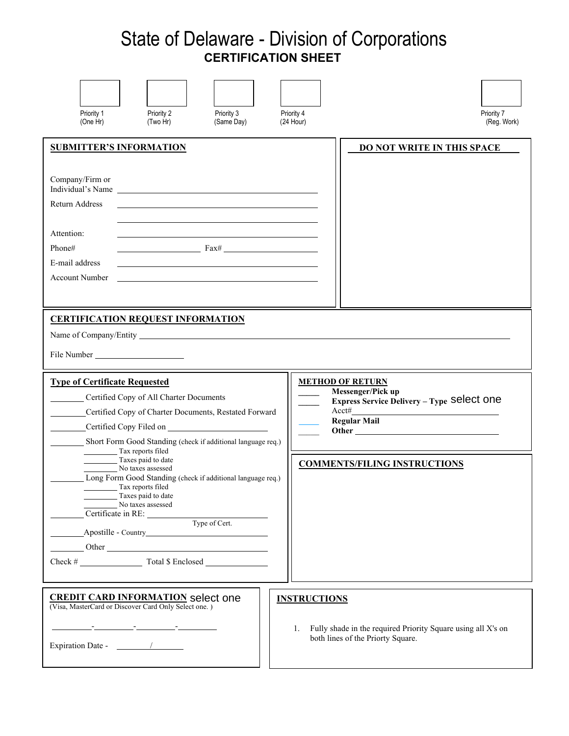## State of Delaware - Division of Corporations  **CERTIFICATION SHEET**

| Priority 2<br>Priority 3<br>Priority 1<br>(Same Day)<br>(One Hr)<br>(Two Hr)                                                                                                                                                                                                                                                                                                                                                                                                                                                                                                                  | Priority 4<br>Priority 7<br>(24 Hour)<br>(Reg. Work)                                                                          |
|-----------------------------------------------------------------------------------------------------------------------------------------------------------------------------------------------------------------------------------------------------------------------------------------------------------------------------------------------------------------------------------------------------------------------------------------------------------------------------------------------------------------------------------------------------------------------------------------------|-------------------------------------------------------------------------------------------------------------------------------|
| <b>SUBMITTER'S INFORMATION</b><br>Company/Firm or<br>Individual's Name<br>Return Address<br>Attention:<br>Phone#<br>Fax#<br>E-mail address<br><b>Account Number</b>                                                                                                                                                                                                                                                                                                                                                                                                                           | DO NOT WRITE IN THIS SPACE                                                                                                    |
| <b>CERTIFICATION REQUEST INFORMATION</b><br><b>Type of Certificate Requested</b><br>Certified Copy of All Charter Documents<br>Certified Copy of Charter Documents, Restated Forward<br>Certified Copy Filed on                                                                                                                                                                                                                                                                                                                                                                               | <b>METHOD OF RETURN</b><br>Messenger/Pick up<br>Express Service Delivery - Type Select one<br>$Acct\#$<br><b>Regular Mail</b> |
| Short Form Good Standing (check if additional language req.)<br>Tax reports filed<br>Taxes paid to date<br>No taxes assessed<br>Long Form Good Standing (check if additional language req.)<br>Tax reports filed<br>Taxes paid to date<br>No taxes assessed<br>$\frac{1}{\sqrt{\frac{1}{1}}$ Certificate in RE: $\frac{1}{\sqrt{\frac{1}{1}}$ Type of Cert.<br>Other Charles Communication of the Communication of the Communication of the Communication of the Communication of the Communication of the Communication of the Communication of the Communication of the Communication of th | <b>COMMENTS/FILING INSTRUCTIONS</b>                                                                                           |
| <b>CREDIT CARD INFORMATION</b> select one<br>(Visa, MasterCard or Discover Card Only Select one.)                                                                                                                                                                                                                                                                                                                                                                                                                                                                                             | <b>INSTRUCTIONS</b><br>1. Fully shade in the required Priority Square using all X's on<br>both lines of the Priorty Square.   |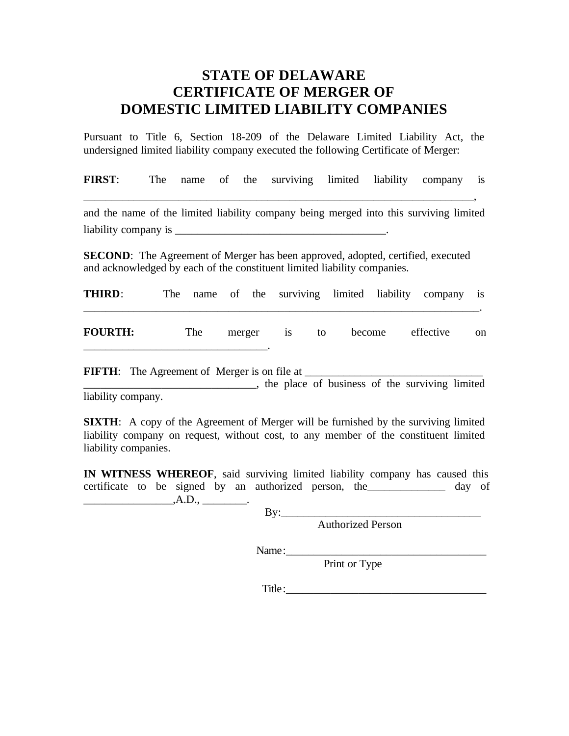## **STATE OF DELAWARE CERTIFICATE OF MERGER OF DOMESTIC LIMITED LIABILITY COMPANIES**

Pursuant to Title 6, Section 18-209 of the Delaware Limited Liability Act, the undersigned limited liability company executed the following Certificate of Merger:

**FIRST**: The name of the surviving limited liability company is

\_\_\_\_\_\_\_\_\_\_\_\_\_\_\_\_\_\_\_\_\_\_\_\_\_\_\_\_\_\_\_\_\_\_\_\_\_\_\_\_\_\_\_\_\_\_\_\_\_\_\_\_\_\_\_\_\_\_\_\_\_\_\_\_\_\_\_\_\_\_,

and the name of the limited liability company being merged into this surviving limited liability company is \_\_\_\_\_\_\_\_\_\_\_\_\_\_\_\_\_\_\_\_\_\_\_\_\_\_\_\_\_\_\_\_\_\_\_\_\_\_.

**SECOND**: The Agreement of Merger has been approved, adopted, certified, executed and acknowledged by each of the constituent limited liability companies.

| THIRD:         |     |  |              |  |                  | The name of the surviving limited liability company is |    |
|----------------|-----|--|--------------|--|------------------|--------------------------------------------------------|----|
| <b>FOURTH:</b> | The |  | merger is to |  | become effective |                                                        | on |

**FIFTH**: The Agreement of Merger is on file at \_\_\_\_\_\_\_\_\_\_\_\_\_\_\_\_\_\_\_\_\_\_\_\_\_\_\_\_\_\_\_\_ **Example 2.1** The place of business of the surviving limited

liability company.

**SIXTH:** A copy of the Agreement of Merger will be furnished by the surviving limited liability company on request, without cost, to any member of the constituent limited liability companies.

**IN WITNESS WHEREOF**, said surviving limited liability company has caused this certificate to be signed by an authorized person, the day of  $\qquad \qquad \ldots, A.D., \qquad \qquad \ldots$ 

By:\_\_\_\_\_\_\_\_\_\_\_\_\_\_\_\_\_\_\_\_\_\_\_\_\_\_\_\_\_\_\_\_\_\_\_\_

Authorized Person

Name:\_\_\_\_\_\_\_\_\_\_\_\_\_\_\_\_\_\_\_\_\_\_\_\_\_\_\_\_\_\_\_\_\_\_\_\_

Print or Type

Title:\_\_\_\_\_\_\_\_\_\_\_\_\_\_\_\_\_\_\_\_\_\_\_\_\_\_\_\_\_\_\_\_\_\_\_\_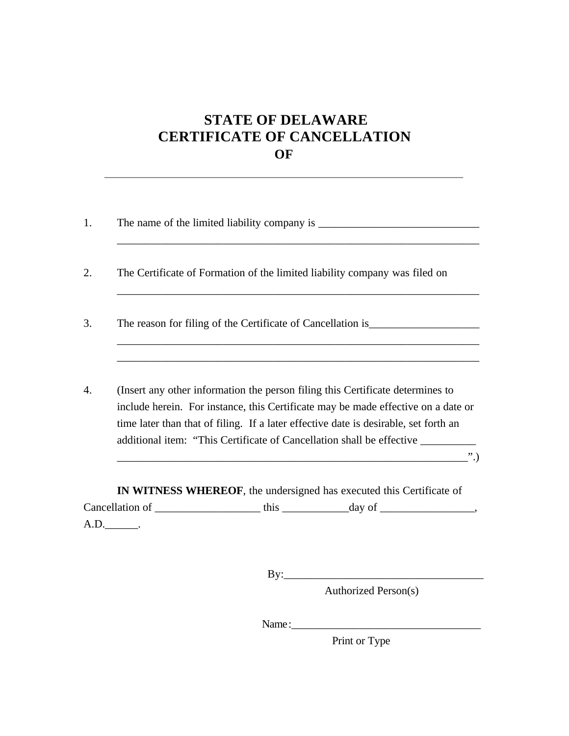## **STATE OF DELAWARE CERTIFICATE OF CANCELLATION OF**

\_\_\_\_\_\_\_\_\_\_\_\_\_\_\_\_\_\_\_\_\_\_\_\_\_\_\_\_\_\_\_\_\_\_\_\_\_\_\_\_\_\_\_\_\_\_\_\_\_\_\_\_\_\_\_\_\_\_\_\_\_\_\_\_\_\_\_\_\_\_\_\_\_\_\_\_\_

| 1. |      |                                                                                                                                                                                                                                                             |
|----|------|-------------------------------------------------------------------------------------------------------------------------------------------------------------------------------------------------------------------------------------------------------------|
|    |      |                                                                                                                                                                                                                                                             |
| 2. |      | The Certificate of Formation of the limited liability company was filed on                                                                                                                                                                                  |
| 3. |      | The reason for filing of the Certificate of Cancellation is                                                                                                                                                                                                 |
|    |      |                                                                                                                                                                                                                                                             |
| 4. |      | (Insert any other information the person filing this Certificate determines to<br>include herein. For instance, this Certificate may be made effective on a date or<br>time later than that of filing. If a later effective date is desirable, set forth an |
|    |      | additional item: "This Certificate of Cancellation shall be effective __________<br>$\dddot{\hspace{0.1cm}}$                                                                                                                                                |
|    |      | IN WITNESS WHEREOF, the undersigned has executed this Certificate of                                                                                                                                                                                        |
|    |      |                                                                                                                                                                                                                                                             |
|    | A.D. |                                                                                                                                                                                                                                                             |

 $\mathbf{By:}\qquad \qquad$ 

Authorized Person(s)

Name:

Print or Type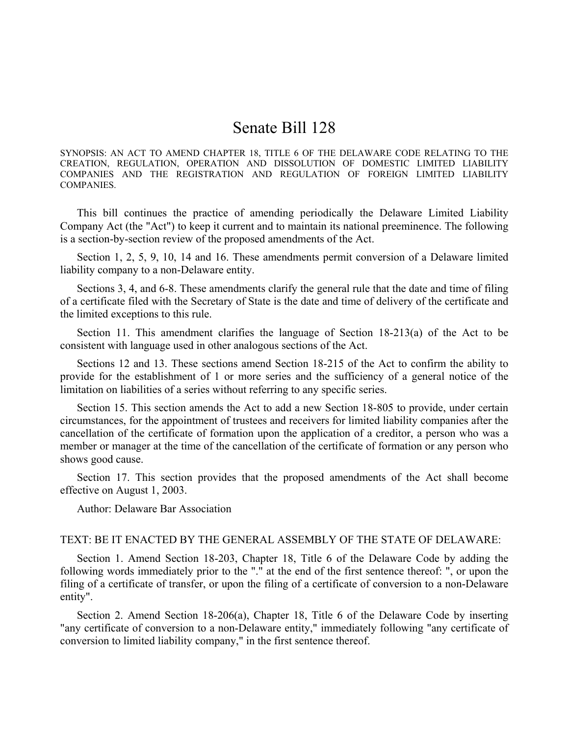## Senate Bill 128

SYNOPSIS: AN ACT TO AMEND CHAPTER 18, TITLE 6 OF THE DELAWARE CODE RELATING TO THE CREATION, REGULATION, OPERATION AND DISSOLUTION OF DOMESTIC LIMITED LIABILITY COMPANIES AND THE REGISTRATION AND REGULATION OF FOREIGN LIMITED LIABILITY COMPANIES.

This bill continues the practice of amending periodically the Delaware Limited Liability Company Act (the "Act") to keep it current and to maintain its national preeminence. The following is a section-by-section review of the proposed amendments of the Act.

Section 1, 2, 5, 9, 10, 14 and 16. These amendments permit conversion of a Delaware limited liability company to a non-Delaware entity.

Sections 3, 4, and 6-8. These amendments clarify the general rule that the date and time of filing of a certificate filed with the Secretary of State is the date and time of delivery of the certificate and the limited exceptions to this rule.

Section 11. This amendment clarifies the language of Section 18-213(a) of the Act to be consistent with language used in other analogous sections of the Act.

Sections 12 and 13. These sections amend Section 18-215 of the Act to confirm the ability to provide for the establishment of 1 or more series and the sufficiency of a general notice of the limitation on liabilities of a series without referring to any specific series.

Section 15. This section amends the Act to add a new Section 18-805 to provide, under certain circumstances, for the appointment of trustees and receivers for limited liability companies after the cancellation of the certificate of formation upon the application of a creditor, a person who was a member or manager at the time of the cancellation of the certificate of formation or any person who shows good cause.

Section 17. This section provides that the proposed amendments of the Act shall become effective on August 1, 2003.

Author: Delaware Bar Association

### TEXT: BE IT ENACTED BY THE GENERAL ASSEMBLY OF THE STATE OF DELAWARE:

Section 1. Amend Section 18-203, Chapter 18, Title 6 of the Delaware Code by adding the following words immediately prior to the "." at the end of the first sentence thereof: ", or upon the filing of a certificate of transfer, or upon the filing of a certificate of conversion to a non-Delaware entity".

Section 2. Amend Section 18-206(a), Chapter 18, Title 6 of the Delaware Code by inserting "any certificate of conversion to a non-Delaware entity," immediately following "any certificate of conversion to limited liability company," in the first sentence thereof.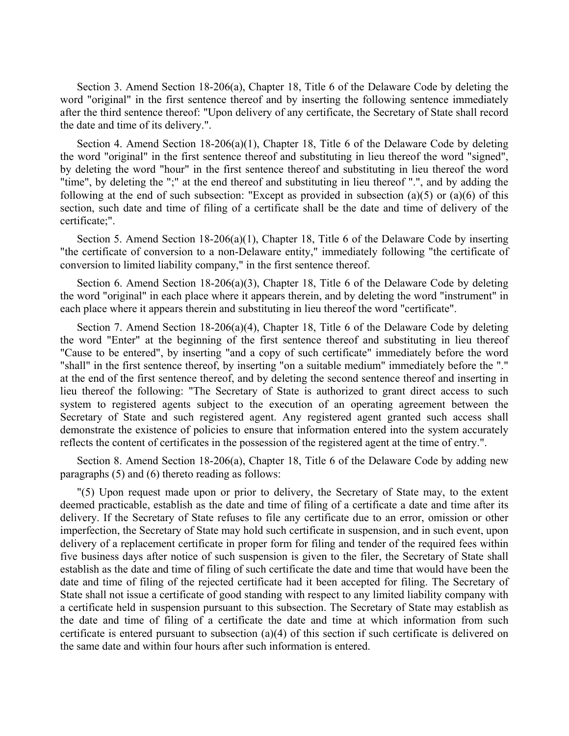Section 3. Amend Section 18-206(a), Chapter 18, Title 6 of the Delaware Code by deleting the word "original" in the first sentence thereof and by inserting the following sentence immediately after the third sentence thereof: "Upon delivery of any certificate, the Secretary of State shall record the date and time of its delivery.".

Section 4. Amend Section 18-206(a)(1), Chapter 18, Title 6 of the Delaware Code by deleting the word "original" in the first sentence thereof and substituting in lieu thereof the word "signed", by deleting the word "hour" in the first sentence thereof and substituting in lieu thereof the word "time", by deleting the ";" at the end thereof and substituting in lieu thereof ".", and by adding the following at the end of such subsection: "Except as provided in subsection (a)(5) or (a)(6) of this section, such date and time of filing of a certificate shall be the date and time of delivery of the certificate;".

Section 5. Amend Section 18-206(a)(1), Chapter 18, Title 6 of the Delaware Code by inserting "the certificate of conversion to a non-Delaware entity," immediately following "the certificate of conversion to limited liability company," in the first sentence thereof.

Section 6. Amend Section 18-206(a)(3), Chapter 18, Title 6 of the Delaware Code by deleting the word "original" in each place where it appears therein, and by deleting the word "instrument" in each place where it appears therein and substituting in lieu thereof the word "certificate".

Section 7. Amend Section 18-206(a)(4), Chapter 18, Title 6 of the Delaware Code by deleting the word "Enter" at the beginning of the first sentence thereof and substituting in lieu thereof "Cause to be entered", by inserting "and a copy of such certificate" immediately before the word "shall" in the first sentence thereof, by inserting "on a suitable medium" immediately before the "." at the end of the first sentence thereof, and by deleting the second sentence thereof and inserting in lieu thereof the following: "The Secretary of State is authorized to grant direct access to such system to registered agents subject to the execution of an operating agreement between the Secretary of State and such registered agent. Any registered agent granted such access shall demonstrate the existence of policies to ensure that information entered into the system accurately reflects the content of certificates in the possession of the registered agent at the time of entry.".

Section 8. Amend Section 18-206(a), Chapter 18, Title 6 of the Delaware Code by adding new paragraphs (5) and (6) thereto reading as follows:

"(5) Upon request made upon or prior to delivery, the Secretary of State may, to the extent deemed practicable, establish as the date and time of filing of a certificate a date and time after its delivery. If the Secretary of State refuses to file any certificate due to an error, omission or other imperfection, the Secretary of State may hold such certificate in suspension, and in such event, upon delivery of a replacement certificate in proper form for filing and tender of the required fees within five business days after notice of such suspension is given to the filer, the Secretary of State shall establish as the date and time of filing of such certificate the date and time that would have been the date and time of filing of the rejected certificate had it been accepted for filing. The Secretary of State shall not issue a certificate of good standing with respect to any limited liability company with a certificate held in suspension pursuant to this subsection. The Secretary of State may establish as the date and time of filing of a certificate the date and time at which information from such certificate is entered pursuant to subsection (a)(4) of this section if such certificate is delivered on the same date and within four hours after such information is entered.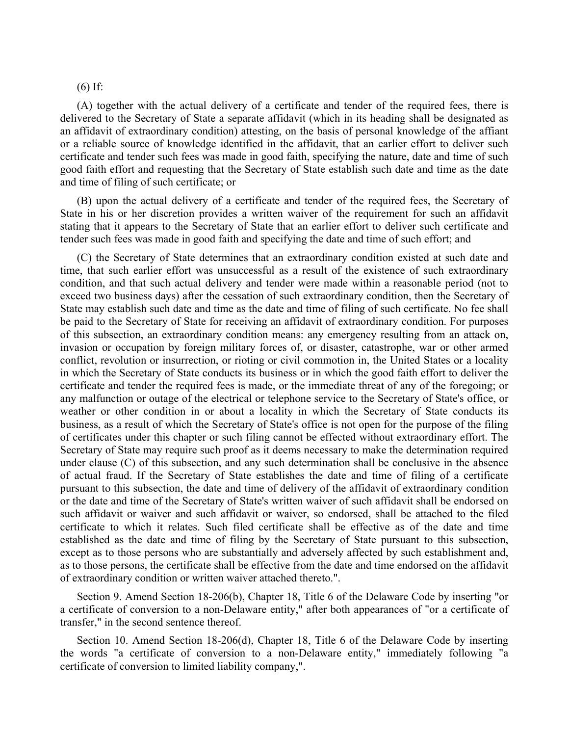### (6) If:

(A) together with the actual delivery of a certificate and tender of the required fees, there is delivered to the Secretary of State a separate affidavit (which in its heading shall be designated as an affidavit of extraordinary condition) attesting, on the basis of personal knowledge of the affiant or a reliable source of knowledge identified in the affidavit, that an earlier effort to deliver such certificate and tender such fees was made in good faith, specifying the nature, date and time of such good faith effort and requesting that the Secretary of State establish such date and time as the date and time of filing of such certificate; or

(B) upon the actual delivery of a certificate and tender of the required fees, the Secretary of State in his or her discretion provides a written waiver of the requirement for such an affidavit stating that it appears to the Secretary of State that an earlier effort to deliver such certificate and tender such fees was made in good faith and specifying the date and time of such effort; and

(C) the Secretary of State determines that an extraordinary condition existed at such date and time, that such earlier effort was unsuccessful as a result of the existence of such extraordinary condition, and that such actual delivery and tender were made within a reasonable period (not to exceed two business days) after the cessation of such extraordinary condition, then the Secretary of State may establish such date and time as the date and time of filing of such certificate. No fee shall be paid to the Secretary of State for receiving an affidavit of extraordinary condition. For purposes of this subsection, an extraordinary condition means: any emergency resulting from an attack on, invasion or occupation by foreign military forces of, or disaster, catastrophe, war or other armed conflict, revolution or insurrection, or rioting or civil commotion in, the United States or a locality in which the Secretary of State conducts its business or in which the good faith effort to deliver the certificate and tender the required fees is made, or the immediate threat of any of the foregoing; or any malfunction or outage of the electrical or telephone service to the Secretary of State's office, or weather or other condition in or about a locality in which the Secretary of State conducts its business, as a result of which the Secretary of State's office is not open for the purpose of the filing of certificates under this chapter or such filing cannot be effected without extraordinary effort. The Secretary of State may require such proof as it deems necessary to make the determination required under clause (C) of this subsection, and any such determination shall be conclusive in the absence of actual fraud. If the Secretary of State establishes the date and time of filing of a certificate pursuant to this subsection, the date and time of delivery of the affidavit of extraordinary condition or the date and time of the Secretary of State's written waiver of such affidavit shall be endorsed on such affidavit or waiver and such affidavit or waiver, so endorsed, shall be attached to the filed certificate to which it relates. Such filed certificate shall be effective as of the date and time established as the date and time of filing by the Secretary of State pursuant to this subsection, except as to those persons who are substantially and adversely affected by such establishment and, as to those persons, the certificate shall be effective from the date and time endorsed on the affidavit of extraordinary condition or written waiver attached thereto.".

Section 9. Amend Section 18-206(b), Chapter 18, Title 6 of the Delaware Code by inserting "or a certificate of conversion to a non-Delaware entity," after both appearances of "or a certificate of transfer," in the second sentence thereof.

Section 10. Amend Section 18-206(d), Chapter 18, Title 6 of the Delaware Code by inserting the words "a certificate of conversion to a non-Delaware entity," immediately following "a certificate of conversion to limited liability company,".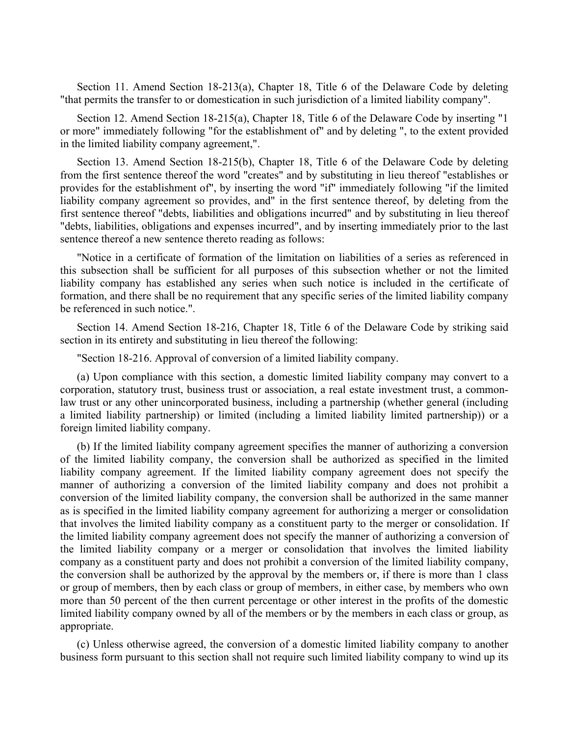Section 11. Amend Section 18-213(a), Chapter 18, Title 6 of the Delaware Code by deleting "that permits the transfer to or domestication in such jurisdiction of a limited liability company".

Section 12. Amend Section 18-215(a), Chapter 18, Title 6 of the Delaware Code by inserting "1 or more" immediately following "for the establishment of" and by deleting ", to the extent provided in the limited liability company agreement,".

Section 13. Amend Section 18-215(b), Chapter 18, Title 6 of the Delaware Code by deleting from the first sentence thereof the word "creates" and by substituting in lieu thereof "establishes or provides for the establishment of", by inserting the word "if" immediately following "if the limited liability company agreement so provides, and" in the first sentence thereof, by deleting from the first sentence thereof "debts, liabilities and obligations incurred" and by substituting in lieu thereof "debts, liabilities, obligations and expenses incurred", and by inserting immediately prior to the last sentence thereof a new sentence thereto reading as follows:

"Notice in a certificate of formation of the limitation on liabilities of a series as referenced in this subsection shall be sufficient for all purposes of this subsection whether or not the limited liability company has established any series when such notice is included in the certificate of formation, and there shall be no requirement that any specific series of the limited liability company be referenced in such notice.".

Section 14. Amend Section 18-216, Chapter 18, Title 6 of the Delaware Code by striking said section in its entirety and substituting in lieu thereof the following:

"Section 18-216. Approval of conversion of a limited liability company.

(a) Upon compliance with this section, a domestic limited liability company may convert to a corporation, statutory trust, business trust or association, a real estate investment trust, a commonlaw trust or any other unincorporated business, including a partnership (whether general (including a limited liability partnership) or limited (including a limited liability limited partnership)) or a foreign limited liability company.

(b) If the limited liability company agreement specifies the manner of authorizing a conversion of the limited liability company, the conversion shall be authorized as specified in the limited liability company agreement. If the limited liability company agreement does not specify the manner of authorizing a conversion of the limited liability company and does not prohibit a conversion of the limited liability company, the conversion shall be authorized in the same manner as is specified in the limited liability company agreement for authorizing a merger or consolidation that involves the limited liability company as a constituent party to the merger or consolidation. If the limited liability company agreement does not specify the manner of authorizing a conversion of the limited liability company or a merger or consolidation that involves the limited liability company as a constituent party and does not prohibit a conversion of the limited liability company, the conversion shall be authorized by the approval by the members or, if there is more than 1 class or group of members, then by each class or group of members, in either case, by members who own more than 50 percent of the then current percentage or other interest in the profits of the domestic limited liability company owned by all of the members or by the members in each class or group, as appropriate.

(c) Unless otherwise agreed, the conversion of a domestic limited liability company to another business form pursuant to this section shall not require such limited liability company to wind up its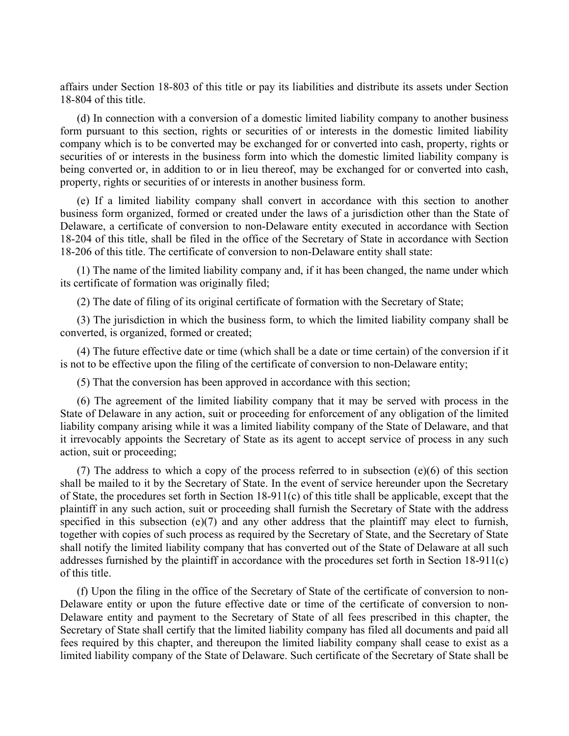affairs under Section 18-803 of this title or pay its liabilities and distribute its assets under Section 18-804 of this title.

(d) In connection with a conversion of a domestic limited liability company to another business form pursuant to this section, rights or securities of or interests in the domestic limited liability company which is to be converted may be exchanged for or converted into cash, property, rights or securities of or interests in the business form into which the domestic limited liability company is being converted or, in addition to or in lieu thereof, may be exchanged for or converted into cash, property, rights or securities of or interests in another business form.

(e) If a limited liability company shall convert in accordance with this section to another business form organized, formed or created under the laws of a jurisdiction other than the State of Delaware, a certificate of conversion to non-Delaware entity executed in accordance with Section 18-204 of this title, shall be filed in the office of the Secretary of State in accordance with Section 18-206 of this title. The certificate of conversion to non-Delaware entity shall state:

(1) The name of the limited liability company and, if it has been changed, the name under which its certificate of formation was originally filed;

(2) The date of filing of its original certificate of formation with the Secretary of State;

(3) The jurisdiction in which the business form, to which the limited liability company shall be converted, is organized, formed or created;

(4) The future effective date or time (which shall be a date or time certain) of the conversion if it is not to be effective upon the filing of the certificate of conversion to non-Delaware entity;

(5) That the conversion has been approved in accordance with this section;

(6) The agreement of the limited liability company that it may be served with process in the State of Delaware in any action, suit or proceeding for enforcement of any obligation of the limited liability company arising while it was a limited liability company of the State of Delaware, and that it irrevocably appoints the Secretary of State as its agent to accept service of process in any such action, suit or proceeding;

(7) The address to which a copy of the process referred to in subsection (e)(6) of this section shall be mailed to it by the Secretary of State. In the event of service hereunder upon the Secretary of State, the procedures set forth in Section 18-911(c) of this title shall be applicable, except that the plaintiff in any such action, suit or proceeding shall furnish the Secretary of State with the address specified in this subsection  $(e)(7)$  and any other address that the plaintiff may elect to furnish, together with copies of such process as required by the Secretary of State, and the Secretary of State shall notify the limited liability company that has converted out of the State of Delaware at all such addresses furnished by the plaintiff in accordance with the procedures set forth in Section 18-911(c) of this title.

(f) Upon the filing in the office of the Secretary of State of the certificate of conversion to non-Delaware entity or upon the future effective date or time of the certificate of conversion to non-Delaware entity and payment to the Secretary of State of all fees prescribed in this chapter, the Secretary of State shall certify that the limited liability company has filed all documents and paid all fees required by this chapter, and thereupon the limited liability company shall cease to exist as a limited liability company of the State of Delaware. Such certificate of the Secretary of State shall be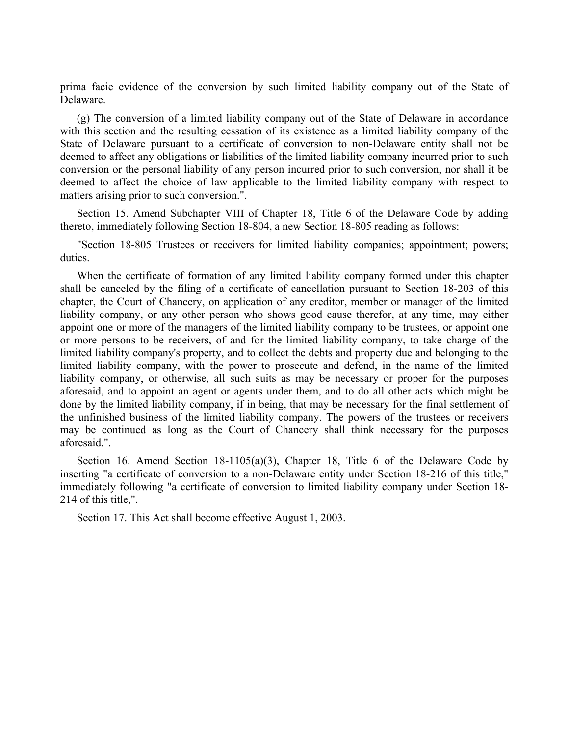prima facie evidence of the conversion by such limited liability company out of the State of Delaware.

(g) The conversion of a limited liability company out of the State of Delaware in accordance with this section and the resulting cessation of its existence as a limited liability company of the State of Delaware pursuant to a certificate of conversion to non-Delaware entity shall not be deemed to affect any obligations or liabilities of the limited liability company incurred prior to such conversion or the personal liability of any person incurred prior to such conversion, nor shall it be deemed to affect the choice of law applicable to the limited liability company with respect to matters arising prior to such conversion.".

Section 15. Amend Subchapter VIII of Chapter 18, Title 6 of the Delaware Code by adding thereto, immediately following Section 18-804, a new Section 18-805 reading as follows:

"Section 18-805 Trustees or receivers for limited liability companies; appointment; powers; duties.

When the certificate of formation of any limited liability company formed under this chapter shall be canceled by the filing of a certificate of cancellation pursuant to Section 18-203 of this chapter, the Court of Chancery, on application of any creditor, member or manager of the limited liability company, or any other person who shows good cause therefor, at any time, may either appoint one or more of the managers of the limited liability company to be trustees, or appoint one or more persons to be receivers, of and for the limited liability company, to take charge of the limited liability company's property, and to collect the debts and property due and belonging to the limited liability company, with the power to prosecute and defend, in the name of the limited liability company, or otherwise, all such suits as may be necessary or proper for the purposes aforesaid, and to appoint an agent or agents under them, and to do all other acts which might be done by the limited liability company, if in being, that may be necessary for the final settlement of the unfinished business of the limited liability company. The powers of the trustees or receivers may be continued as long as the Court of Chancery shall think necessary for the purposes aforesaid.".

Section 16. Amend Section 18-1105(a)(3), Chapter 18, Title 6 of the Delaware Code by inserting "a certificate of conversion to a non-Delaware entity under Section 18-216 of this title," immediately following "a certificate of conversion to limited liability company under Section 18- 214 of this title,".

Section 17. This Act shall become effective August 1, 2003.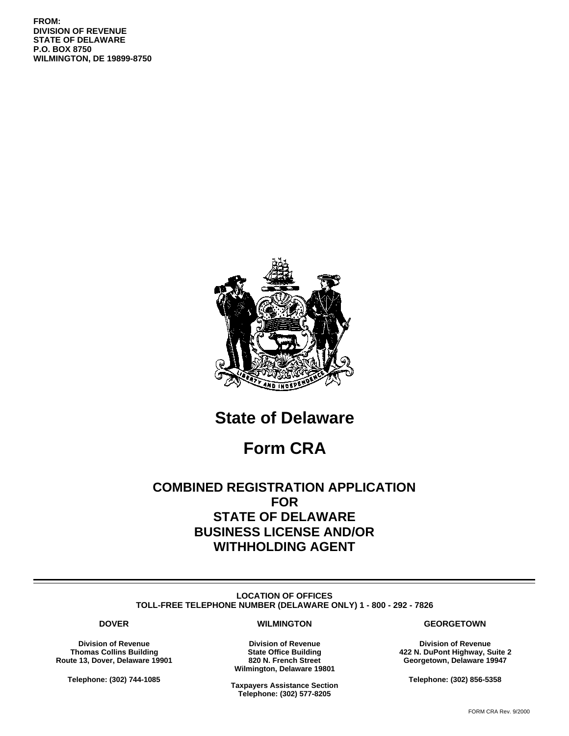**FROM: DIVISION OF REVENUE STATE OF DELAWARE P.O. BOX 8750 WILMINGTON, DE 19899-8750**



## **State of Delaware**

## **Form CRA**

## **COMBINED REGISTRATION APPLICATION FOR STATE OF DELAWARE BUSINESS LICENSE AND/OR WITHHOLDING AGENT**

**LOCATION OF OFFICES TOLL-FREE TELEPHONE NUMBER (DELAWARE ONLY) 1 - 800 - 292 - 7826**

#### **DOVER**

**Division of Revenue Thomas Collins Building Route 13, Dover, Delaware 19901**

**Telephone: (302) 744-1085**

#### **WILMINGTON**

**Division of Revenue State Office Building 820 N. French Street Wilmington, Delaware 19801**

**Taxpayers Assistance Section Telephone: (302) 577-8205**

#### **GEORGETOWN**

**Division of Revenue 422 N. DuPont Highway, Suite 2 Georgetown, Delaware 19947**

**Telephone: (302) 856-5358**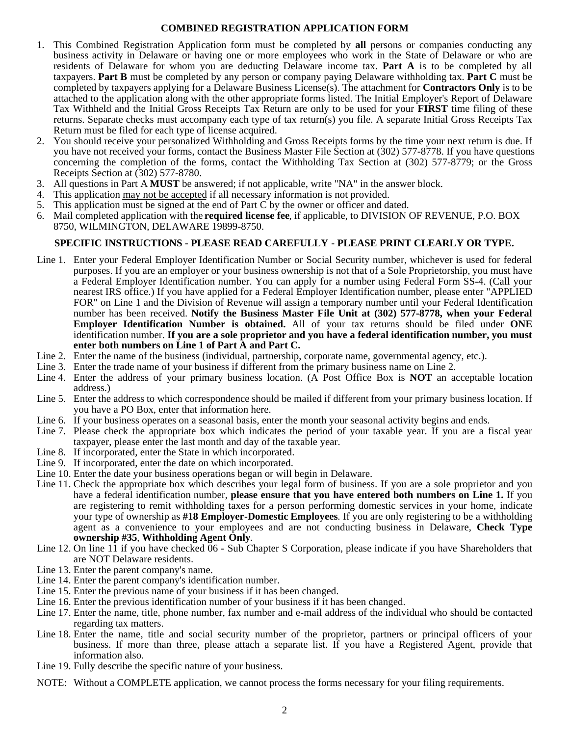### **COMBINED REGISTRATION APPLICATION FORM**

- 1. This Combined Registration Application form must be completed by **all** persons or companies conducting any business activity in Delaware or having one or more employees who work in the State of Delaware or who are residents of Delaware for whom you are deducting Delaware income tax. **Part A** is to be completed by all taxpayers. **Part B** must be completed by any person or company paying Delaware withholding tax. **Part C** must be completed by taxpayers applying for a Delaware Business License(s). The attachment for **Contractors Only** is to be attached to the application along with the other appropriate forms listed. The Initial Employer's Report of Delaware Tax Withheld and the Initial Gross Receipts Tax Return are only to be used for your **FIRST** time filing of these returns. Separate checks must accompany each type of tax return(s) you file. A separate Initial Gross Receipts Tax Return must be filed for each type of license acquired.
- 2. You should receive your personalized Withholding and Gross Receipts forms by the time your next return is due. If you have not received your forms, contact the Business Master File Section at (302) 577-8778. If you have questions concerning the completion of the forms, contact the Withholding Tax Section at (302) 577-8779; or the Gross Receipts Section at (302) 577-8780.
- 3. All questions in Part A **MUST** be answered; if not applicable, write "NA" in the answer block.
- 4. This application may not be accepted if all necessary information is not provided.
- 5. This application must be signed at the end of Part C by the owner or officer and dated.
- 6. Mail completed application with the **required license fee**, if applicable, to DIVISION OF REVENUE, P.O. BOX 8750, WILMINGTON, DELAWARE 19899-8750.

### **SPECIFIC INSTRUCTIONS - PLEASE READ CAREFULLY - PLEASE PRINT CLEARLY OR TYPE.**

- Line 1. Enter your Federal Employer Identification Number or Social Security number, whichever is used for federal purposes. If you are an employer or your business ownership is not that of a Sole Proprietorship, you must have a Federal Employer Identification number. You can apply for a number using Federal Form SS-4. (Call your nearest IRS office.) If you have applied for a Federal Employer Identification number, please enter "APPLIED FOR" on Line 1 and the Division of Revenue will assign a temporary number until your Federal Identification number has been received. **Notify the Business Master File Unit at (302) 577-8778, when your Federal Employer Identification Number is obtained.** All of your tax returns should be filed under **ONE** identification number. **If you are a sole proprietor and you have a federal identification number, you must enter both numbers on Line 1 of Part A and Part C.**
- Line 2. Enter the name of the business (individual, partnership, corporate name, governmental agency, etc.).
- Line 3. Enter the trade name of your business if different from the primary business name on Line 2.
- Line 4. Enter the address of your primary business location. (A Post Office Box is **NOT** an acceptable location address.)
- Line 5. Enter the address to which correspondence should be mailed if different from your primary business location. If you have a PO Box, enter that information here.
- Line 6. If your business operates on a seasonal basis, enter the month your seasonal activity begins and ends.
- Line 7. Please check the appropriate box which indicates the period of your taxable year. If you are a fiscal year taxpayer, please enter the last month and day of the taxable year.
- Line 8. If incorporated, enter the State in which incorporated.
- Line 9. If incorporated, enter the date on which incorporated.
- Line 10. Enter the date your business operations began or will begin in Delaware.
- Line 11. Check the appropriate box which describes your legal form of business. If you are a sole proprietor and you have a federal identification number, **please ensure that you have entered both numbers on Line 1.** If you are registering to remit withholding taxes for a person performing domestic services in your home, indicate your type of ownership as **#18 Employer-Domestic Employees**. If you are only registering to be a withholding agent as a convenience to your employees and are not conducting business in Delaware, **Check Type ownership #35**, **Withholding Agent Only**.
- Line 12. On line 11 if you have checked 06 Sub Chapter S Corporation, please indicate if you have Shareholders that are NOT Delaware residents.
- Line 13. Enter the parent company's name.
- Line 14. Enter the parent company's identification number.
- Line 15. Enter the previous name of your business if it has been changed.
- Line 16. Enter the previous identification number of your business if it has been changed.
- Line 17. Enter the name, title, phone number, fax number and e-mail address of the individual who should be contacted regarding tax matters.
- Line 18. Enter the name, title and social security number of the proprietor, partners or principal officers of your business. If more than three, please attach a separate list. If you have a Registered Agent, provide that information also.
- Line 19. Fully describe the specific nature of your business.
- NOTE: Without a COMPLETE application, we cannot process the forms necessary for your filing requirements.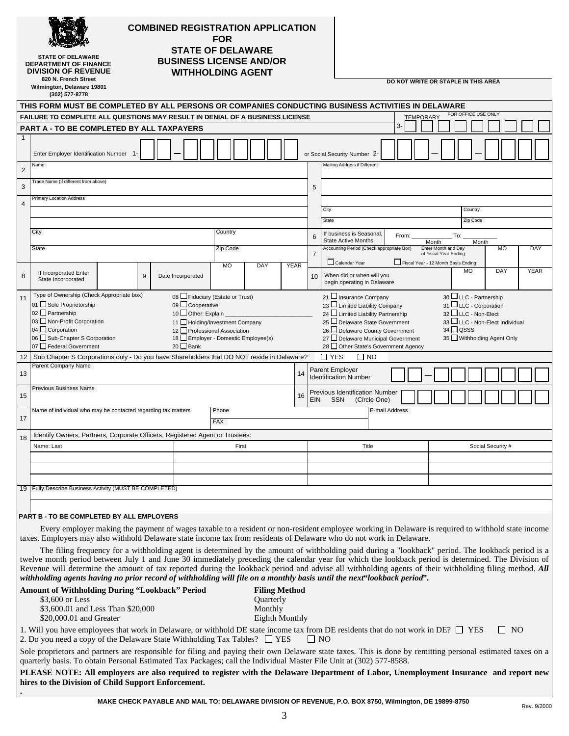|                | <b>STATE OF DELAWARE</b><br><b>DEPARTMENT OF FINANCE</b><br><b>DIVISION OF REVENUE</b><br>820 N. French Street<br>Wilmington, Delaware 19801<br>(302) 577-8778                                                                                                                                                                                                                                                                                                               |  |   |  |                                                                                                                                                    | <b>FOR</b>          |       | <b>COMBINED REGISTRATION APPLICATION</b><br><b>STATE OF DELAWARE</b><br><b>BUSINESS LICENSE AND/OR</b><br><b>WITHHOLDING AGENT</b> |             |    |                |                                                                  |                                                                                                                                                                 |                |       |                  |                              | DO NOT WRITE OR STAPLE IN THIS AREA                                                                                                             |                     |                   |           |             |
|----------------|------------------------------------------------------------------------------------------------------------------------------------------------------------------------------------------------------------------------------------------------------------------------------------------------------------------------------------------------------------------------------------------------------------------------------------------------------------------------------|--|---|--|----------------------------------------------------------------------------------------------------------------------------------------------------|---------------------|-------|------------------------------------------------------------------------------------------------------------------------------------|-------------|----|----------------|------------------------------------------------------------------|-----------------------------------------------------------------------------------------------------------------------------------------------------------------|----------------|-------|------------------|------------------------------|-------------------------------------------------------------------------------------------------------------------------------------------------|---------------------|-------------------|-----------|-------------|
|                | THIS FORM MUST BE COMPLETED BY ALL PERSONS OR COMPANIES CONDUCTING BUSINESS ACTIVITIES IN DELAWARE                                                                                                                                                                                                                                                                                                                                                                           |  |   |  |                                                                                                                                                    |                     |       |                                                                                                                                    |             |    |                |                                                                  |                                                                                                                                                                 |                |       |                  |                              | FOR OFFICE USE ONLY                                                                                                                             |                     |                   |           |             |
|                | FAILURE TO COMPLETE ALL QUESTIONS MAY RESULT IN DENIAL OF A BUSINESS LICENSE<br><b>PART A - TO BE COMPLETED BY ALL TAXPAYERS</b>                                                                                                                                                                                                                                                                                                                                             |  |   |  |                                                                                                                                                    |                     |       |                                                                                                                                    |             |    |                |                                                                  |                                                                                                                                                                 |                | 3-    | <b>TEMPORARY</b> |                              |                                                                                                                                                 |                     |                   |           |             |
| $\mathbf 1$    |                                                                                                                                                                                                                                                                                                                                                                                                                                                                              |  |   |  |                                                                                                                                                    |                     |       |                                                                                                                                    |             |    |                |                                                                  |                                                                                                                                                                 |                |       |                  |                              |                                                                                                                                                 |                     |                   |           |             |
|                | Enter Employer Identification Number 1                                                                                                                                                                                                                                                                                                                                                                                                                                       |  |   |  |                                                                                                                                                    |                     |       |                                                                                                                                    |             |    |                | or Social Security Number 2-                                     |                                                                                                                                                                 |                |       |                  |                              |                                                                                                                                                 |                     |                   |           |             |
| $\overline{2}$ | Name                                                                                                                                                                                                                                                                                                                                                                                                                                                                         |  |   |  |                                                                                                                                                    |                     |       |                                                                                                                                    |             |    |                |                                                                  | Mailing Address if Different                                                                                                                                    |                |       |                  |                              |                                                                                                                                                 |                     |                   |           |             |
| 3              | Trade Name (If different from above)                                                                                                                                                                                                                                                                                                                                                                                                                                         |  |   |  |                                                                                                                                                    |                     |       |                                                                                                                                    |             |    | 5              |                                                                  |                                                                                                                                                                 |                |       |                  |                              |                                                                                                                                                 |                     |                   |           |             |
| $\overline{4}$ | <b>Primary Location Address</b>                                                                                                                                                                                                                                                                                                                                                                                                                                              |  |   |  |                                                                                                                                                    |                     |       |                                                                                                                                    |             |    |                |                                                                  |                                                                                                                                                                 |                |       |                  |                              |                                                                                                                                                 |                     |                   |           |             |
|                |                                                                                                                                                                                                                                                                                                                                                                                                                                                                              |  |   |  |                                                                                                                                                    |                     |       |                                                                                                                                    |             |    |                | City<br>State                                                    |                                                                                                                                                                 |                |       |                  |                              |                                                                                                                                                 | Country<br>Zip Code |                   |           |             |
|                | City                                                                                                                                                                                                                                                                                                                                                                                                                                                                         |  |   |  |                                                                                                                                                    | Country             |       |                                                                                                                                    |             |    |                |                                                                  | If business is Seasonal,                                                                                                                                        |                |       |                  |                              |                                                                                                                                                 |                     |                   |           |             |
|                | State                                                                                                                                                                                                                                                                                                                                                                                                                                                                        |  |   |  |                                                                                                                                                    | Zip Code            |       |                                                                                                                                    |             |    | 6              | <b>State Active Months</b>                                       | Accounting Period (Check appropriate Box)                                                                                                                       |                | From: |                  | Month<br>Enter Month and Day | To:                                                                                                                                             | Month               |                   | <b>MO</b> | DAY         |
|                |                                                                                                                                                                                                                                                                                                                                                                                                                                                                              |  |   |  |                                                                                                                                                    |                     |       |                                                                                                                                    |             |    | $\overline{7}$ | Calendar Year                                                    |                                                                                                                                                                 |                |       |                  | of Fiscal Year Ending        | Fiscal Year - 12 Month Basis Ending                                                                                                             |                     |                   |           |             |
| 8              | If Incorporated Enter<br>State Incorporated                                                                                                                                                                                                                                                                                                                                                                                                                                  |  | 9 |  | Date Incorporated                                                                                                                                  | <b>MO</b>           |       | DAY                                                                                                                                | <b>YEAR</b> |    | 10             |                                                                  | When did or when will you<br>begin operating in Delaware                                                                                                        |                |       |                  |                              |                                                                                                                                                 | <b>MO</b>           | DAY               |           | <b>YEAR</b> |
| 11             | Type of Ownership (Check Appropriate box)<br>01 Sole Proprietorship<br>02 Partnership<br>03 Non-Profit Corporation<br>04 Corporation<br>06 Sub-Chapter S Corporation<br>07 Federal Government                                                                                                                                                                                                                                                                                |  |   |  | 08 Fiduciary (Estate or Trust)<br>09 Cooperative<br>10 Other: Explain<br>11 Holding/Investment Company<br>12 Professional Association<br>$20$ Bank |                     |       | 18 Employer - Domestic Employee(s)                                                                                                 |             |    |                | 23 Limited Liability Company<br>24 Limited Liability Partnership | 21 Insurance Company<br>25 Delaware State Government<br>26 Delaware County Government<br>27 Delaware Municipal Government<br>28 Other State's Government Agency |                |       |                  |                              | $30$ LLC - Partnership<br>31 LLC - Corporation<br>32 LLC - Non-Elect<br>33 LUC - Non-Elect Individual<br>$34$ QSSS<br>35 Withholding Agent Only |                     |                   |           |             |
| 12             | Sub Chapter S Corporations only - Do you have Shareholders that DO NOT reside in Delaware?<br>Parent Company Name                                                                                                                                                                                                                                                                                                                                                            |  |   |  |                                                                                                                                                    |                     |       |                                                                                                                                    |             |    |                | $\Box$ YES                                                       | $\Box$ NO                                                                                                                                                       |                |       |                  |                              |                                                                                                                                                 |                     |                   |           |             |
| 13             |                                                                                                                                                                                                                                                                                                                                                                                                                                                                              |  |   |  |                                                                                                                                                    |                     |       |                                                                                                                                    |             | 14 |                | Parent Employer<br><b>Identification Number</b>                  |                                                                                                                                                                 |                |       |                  |                              |                                                                                                                                                 |                     |                   |           |             |
| 15             | <b>Previous Business Name</b>                                                                                                                                                                                                                                                                                                                                                                                                                                                |  |   |  |                                                                                                                                                    |                     |       |                                                                                                                                    |             | 16 | <b>EIN</b>     | Previous Identification Number<br><b>SSN</b>                     | (Circle One)                                                                                                                                                    |                |       |                  |                              |                                                                                                                                                 |                     |                   |           |             |
| 17             | Name of individual who may be contacted regarding tax matters.                                                                                                                                                                                                                                                                                                                                                                                                               |  |   |  |                                                                                                                                                    | Phone<br><b>FAX</b> |       |                                                                                                                                    |             |    |                |                                                                  |                                                                                                                                                                 | E-mail Address |       |                  |                              |                                                                                                                                                 |                     |                   |           |             |
|                |                                                                                                                                                                                                                                                                                                                                                                                                                                                                              |  |   |  |                                                                                                                                                    |                     |       |                                                                                                                                    |             |    |                |                                                                  |                                                                                                                                                                 |                |       |                  |                              |                                                                                                                                                 |                     |                   |           |             |
| 18             | Identify Owners, Partners, Corporate Officers, Registered Agent or Trustees:<br>Name: Last                                                                                                                                                                                                                                                                                                                                                                                   |  |   |  |                                                                                                                                                    |                     | First |                                                                                                                                    |             |    |                |                                                                  | Title                                                                                                                                                           |                |       |                  |                              |                                                                                                                                                 |                     | Social Security # |           |             |
|                |                                                                                                                                                                                                                                                                                                                                                                                                                                                                              |  |   |  |                                                                                                                                                    |                     |       |                                                                                                                                    |             |    |                |                                                                  |                                                                                                                                                                 |                |       |                  |                              |                                                                                                                                                 |                     |                   |           |             |
|                |                                                                                                                                                                                                                                                                                                                                                                                                                                                                              |  |   |  |                                                                                                                                                    |                     |       |                                                                                                                                    |             |    |                |                                                                  |                                                                                                                                                                 |                |       |                  |                              |                                                                                                                                                 |                     |                   |           |             |
| 19             | Fully Describe Business Activity (MUST BE COMPLETED)                                                                                                                                                                                                                                                                                                                                                                                                                         |  |   |  |                                                                                                                                                    |                     |       |                                                                                                                                    |             |    |                |                                                                  |                                                                                                                                                                 |                |       |                  |                              |                                                                                                                                                 |                     |                   |           |             |
|                |                                                                                                                                                                                                                                                                                                                                                                                                                                                                              |  |   |  |                                                                                                                                                    |                     |       |                                                                                                                                    |             |    |                |                                                                  |                                                                                                                                                                 |                |       |                  |                              |                                                                                                                                                 |                     |                   |           |             |
|                | PART B - TO BE COMPLETED BY ALL EMPLOYERS<br>Every employer making the payment of wages taxable to a resident or non-resident employee working in Delaware is required to withhold state income<br>taxes. Employers may also withhold Delaware state income tax from residents of Delaware who do not work in Delaware.<br>The filing frequency for a withholding agent is determined by the amount of withholding paid during a "lookback" period. The lookback period is a |  |   |  |                                                                                                                                                    |                     |       |                                                                                                                                    |             |    |                |                                                                  |                                                                                                                                                                 |                |       |                  |                              |                                                                                                                                                 |                     |                   |           |             |
|                | twelve month period between July 1 and June 30 immediately preceding the calendar year for which the lookback period is determined. The Division of<br>Revenue will determine the amount of tax reported during the lookback period and advise all withholding agents of their withholding filing method. All<br>withholding agents having no prior record of withholding will file on a monthly basis until the next"lookback period".                                      |  |   |  |                                                                                                                                                    |                     |       |                                                                                                                                    |             |    |                |                                                                  |                                                                                                                                                                 |                |       |                  |                              |                                                                                                                                                 |                     |                   |           |             |

| <b>Amount of Withholding During "Lookback" Period</b>                                                               | <b>Filing Method</b>                                                                                                                                                     |
|---------------------------------------------------------------------------------------------------------------------|--------------------------------------------------------------------------------------------------------------------------------------------------------------------------|
| \$3,600 or Less                                                                                                     | <b>Ouarterly</b>                                                                                                                                                         |
| \$3,600.01 and Less Than \$20,000                                                                                   | Monthly                                                                                                                                                                  |
| \$20,000.01 and Greater                                                                                             | Eighth Monthly                                                                                                                                                           |
| 2. Do you need a copy of the Delaware State Withholding Tax Tables? $\Box$ YES                                      | 1. Will you have employees that work in Delaware, or withhold DE state income tax from DE residents that do not work in DE? $\Box$ YES<br>$\blacksquare$ NO<br>$\Box$ NO |
| quarterly basis. To obtain Personal Estimated Tax Packages; call the Individual Master File Unit at (302) 577-8588. | Sole proprietors and partners are responsible for filing and paying their own Delaware state taxes. This is done by remitting personal estimated taxes on a              |
|                                                                                                                     | PLEASE NOTE: All employers are also required to register with the Delaware Department of Labor, Unemployment Insurance and report new                                    |

**hires to the Division of Child Support Enforcement.**

**.**

Rev. 9/2000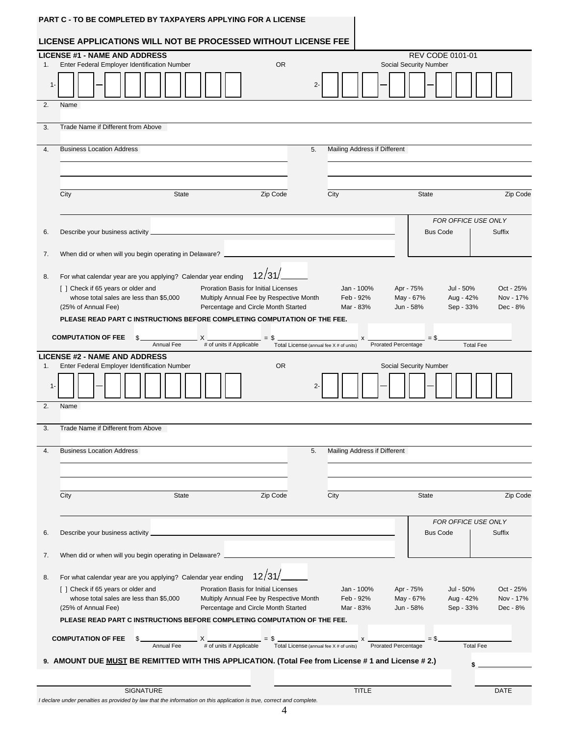#### **LICENSE APPLICATIONS WILL NOT BE PROCESSED WITHOUT LICENSE FEE**

| $2 -$<br>1-<br>2.<br>Name<br>Trade Name if Different from Above<br>3.<br><b>Business Location Address</b><br>Mailing Address if Different<br>4.<br>5.<br>City<br><b>State</b><br>Zip Code<br>City<br><b>State</b><br>Zip Code<br>FOR OFFICE USE ONLY<br><b>Bus Code</b><br>Suffix<br>6.<br>When did or when will you begin operating in Delaware?<br>7.<br>12/31/<br>For what calendar year are you applying? Calendar year ending<br>8.<br>[ ] Check if 65 years or older and<br>Proration Basis for Initial Licenses<br>Apr - 75%<br>Jul - 50%<br>Oct - 25%<br>Jan - 100%<br>whose total sales are less than \$5,000<br>Multiply Annual Fee by Respective Month<br>Feb - 92%<br>May - 67%<br>Aug - 42%<br>Nov - 17%<br>Sep - 33%<br>(25% of Annual Fee)<br>Percentage and Circle Month Started<br>Mar - 83%<br>Jun - 58%<br>Dec - 8%<br>PLEASE READ PART C INSTRUCTIONS BEFORE COMPLETING COMPUTATION OF THE FEE.<br><b>COMPUTATION OF FEE</b><br>$= $$<br>\$<br>$=$ \$<br>$\boldsymbol{\mathsf{x}}$<br># of units if Applicable<br>Prorated Percentage<br>Annual Fee<br><b>Total Fee</b><br>Total License (annual fee X # of units)<br><b>LICENSE #2 - NAME AND ADDRESS</b><br><b>OR</b><br>Enter Federal Employer Identification Number<br>Social Security Number<br>1.<br>$2 -$<br>1.<br>2.<br>Name<br>Trade Name if Different from Above<br>3.<br><b>Business Location Address</b><br>5.<br>Mailing Address if Different<br>4.<br>Zip Code<br>City<br><b>State</b><br>City<br><b>State</b><br>Zip Code<br>FOR OFFICE USE ONLY<br>Describe your business activity<br><b>Bus Code</b><br>Suffix<br>6.<br>When did or when will you begin operating in Delaware?<br>7.<br>12/31/<br>For what calendar year are you applying? Calendar year ending<br>8.<br>[] Check if 65 years or older and<br>Proration Basis for Initial Licenses<br>Jan - 100%<br>Apr - 75%<br>Jul - 50%<br>Oct - 25%<br>whose total sales are less than \$5,000<br>Multiply Annual Fee by Respective Month<br>Feb - 92%<br>May - 67%<br>Aug - 42%<br>Nov - 17%<br>(25% of Annual Fee)<br>Percentage and Circle Month Started<br>Jun - 58%<br>Sep - 33%<br>Dec - 8%<br>Mar - 83%<br>PLEASE READ PART C INSTRUCTIONS BEFORE COMPLETING COMPUTATION OF THE FEE.<br><b>COMPUTATION OF FEE</b><br>$=$ \$.<br>$S_{-}$<br>Prorated Percentage<br><b>Total Fee</b><br>9. AMOUNT DUE MUST BE REMITTED WITH THIS APPLICATION. (Total Fee from License # 1 and License # 2.)<br><b>SIGNATURE</b><br><b>TITLE</b><br><b>DATE</b> | 1. | <b>LICENSE #1 - NAME AND ADDRESS</b><br>Enter Federal Employer Identification Number |  |  |  |  |  | <b>OR</b> |  |  |  |  | Social Security Number | <b>REV CODE 0101-01</b> |  |  |
|----------------------------------------------------------------------------------------------------------------------------------------------------------------------------------------------------------------------------------------------------------------------------------------------------------------------------------------------------------------------------------------------------------------------------------------------------------------------------------------------------------------------------------------------------------------------------------------------------------------------------------------------------------------------------------------------------------------------------------------------------------------------------------------------------------------------------------------------------------------------------------------------------------------------------------------------------------------------------------------------------------------------------------------------------------------------------------------------------------------------------------------------------------------------------------------------------------------------------------------------------------------------------------------------------------------------------------------------------------------------------------------------------------------------------------------------------------------------------------------------------------------------------------------------------------------------------------------------------------------------------------------------------------------------------------------------------------------------------------------------------------------------------------------------------------------------------------------------------------------------------------------------------------------------------------------------------------------------------------------------------------------------------------------------------------------------------------------------------------------------------------------------------------------------------------------------------------------------------------------------------------------------------------------------------------------------------------------------------------------------------------------------------------------------------------------------------------------------------------------------|----|--------------------------------------------------------------------------------------|--|--|--|--|--|-----------|--|--|--|--|------------------------|-------------------------|--|--|
|                                                                                                                                                                                                                                                                                                                                                                                                                                                                                                                                                                                                                                                                                                                                                                                                                                                                                                                                                                                                                                                                                                                                                                                                                                                                                                                                                                                                                                                                                                                                                                                                                                                                                                                                                                                                                                                                                                                                                                                                                                                                                                                                                                                                                                                                                                                                                                                                                                                                                              |    |                                                                                      |  |  |  |  |  |           |  |  |  |  |                        |                         |  |  |
|                                                                                                                                                                                                                                                                                                                                                                                                                                                                                                                                                                                                                                                                                                                                                                                                                                                                                                                                                                                                                                                                                                                                                                                                                                                                                                                                                                                                                                                                                                                                                                                                                                                                                                                                                                                                                                                                                                                                                                                                                                                                                                                                                                                                                                                                                                                                                                                                                                                                                              |    |                                                                                      |  |  |  |  |  |           |  |  |  |  |                        |                         |  |  |
|                                                                                                                                                                                                                                                                                                                                                                                                                                                                                                                                                                                                                                                                                                                                                                                                                                                                                                                                                                                                                                                                                                                                                                                                                                                                                                                                                                                                                                                                                                                                                                                                                                                                                                                                                                                                                                                                                                                                                                                                                                                                                                                                                                                                                                                                                                                                                                                                                                                                                              |    |                                                                                      |  |  |  |  |  |           |  |  |  |  |                        |                         |  |  |
|                                                                                                                                                                                                                                                                                                                                                                                                                                                                                                                                                                                                                                                                                                                                                                                                                                                                                                                                                                                                                                                                                                                                                                                                                                                                                                                                                                                                                                                                                                                                                                                                                                                                                                                                                                                                                                                                                                                                                                                                                                                                                                                                                                                                                                                                                                                                                                                                                                                                                              |    |                                                                                      |  |  |  |  |  |           |  |  |  |  |                        |                         |  |  |
|                                                                                                                                                                                                                                                                                                                                                                                                                                                                                                                                                                                                                                                                                                                                                                                                                                                                                                                                                                                                                                                                                                                                                                                                                                                                                                                                                                                                                                                                                                                                                                                                                                                                                                                                                                                                                                                                                                                                                                                                                                                                                                                                                                                                                                                                                                                                                                                                                                                                                              |    |                                                                                      |  |  |  |  |  |           |  |  |  |  |                        |                         |  |  |
|                                                                                                                                                                                                                                                                                                                                                                                                                                                                                                                                                                                                                                                                                                                                                                                                                                                                                                                                                                                                                                                                                                                                                                                                                                                                                                                                                                                                                                                                                                                                                                                                                                                                                                                                                                                                                                                                                                                                                                                                                                                                                                                                                                                                                                                                                                                                                                                                                                                                                              |    |                                                                                      |  |  |  |  |  |           |  |  |  |  |                        |                         |  |  |
|                                                                                                                                                                                                                                                                                                                                                                                                                                                                                                                                                                                                                                                                                                                                                                                                                                                                                                                                                                                                                                                                                                                                                                                                                                                                                                                                                                                                                                                                                                                                                                                                                                                                                                                                                                                                                                                                                                                                                                                                                                                                                                                                                                                                                                                                                                                                                                                                                                                                                              |    |                                                                                      |  |  |  |  |  |           |  |  |  |  |                        |                         |  |  |
|                                                                                                                                                                                                                                                                                                                                                                                                                                                                                                                                                                                                                                                                                                                                                                                                                                                                                                                                                                                                                                                                                                                                                                                                                                                                                                                                                                                                                                                                                                                                                                                                                                                                                                                                                                                                                                                                                                                                                                                                                                                                                                                                                                                                                                                                                                                                                                                                                                                                                              |    |                                                                                      |  |  |  |  |  |           |  |  |  |  |                        |                         |  |  |
|                                                                                                                                                                                                                                                                                                                                                                                                                                                                                                                                                                                                                                                                                                                                                                                                                                                                                                                                                                                                                                                                                                                                                                                                                                                                                                                                                                                                                                                                                                                                                                                                                                                                                                                                                                                                                                                                                                                                                                                                                                                                                                                                                                                                                                                                                                                                                                                                                                                                                              |    |                                                                                      |  |  |  |  |  |           |  |  |  |  |                        |                         |  |  |
|                                                                                                                                                                                                                                                                                                                                                                                                                                                                                                                                                                                                                                                                                                                                                                                                                                                                                                                                                                                                                                                                                                                                                                                                                                                                                                                                                                                                                                                                                                                                                                                                                                                                                                                                                                                                                                                                                                                                                                                                                                                                                                                                                                                                                                                                                                                                                                                                                                                                                              |    |                                                                                      |  |  |  |  |  |           |  |  |  |  |                        |                         |  |  |
|                                                                                                                                                                                                                                                                                                                                                                                                                                                                                                                                                                                                                                                                                                                                                                                                                                                                                                                                                                                                                                                                                                                                                                                                                                                                                                                                                                                                                                                                                                                                                                                                                                                                                                                                                                                                                                                                                                                                                                                                                                                                                                                                                                                                                                                                                                                                                                                                                                                                                              |    |                                                                                      |  |  |  |  |  |           |  |  |  |  |                        |                         |  |  |
|                                                                                                                                                                                                                                                                                                                                                                                                                                                                                                                                                                                                                                                                                                                                                                                                                                                                                                                                                                                                                                                                                                                                                                                                                                                                                                                                                                                                                                                                                                                                                                                                                                                                                                                                                                                                                                                                                                                                                                                                                                                                                                                                                                                                                                                                                                                                                                                                                                                                                              |    |                                                                                      |  |  |  |  |  |           |  |  |  |  |                        |                         |  |  |
|                                                                                                                                                                                                                                                                                                                                                                                                                                                                                                                                                                                                                                                                                                                                                                                                                                                                                                                                                                                                                                                                                                                                                                                                                                                                                                                                                                                                                                                                                                                                                                                                                                                                                                                                                                                                                                                                                                                                                                                                                                                                                                                                                                                                                                                                                                                                                                                                                                                                                              |    |                                                                                      |  |  |  |  |  |           |  |  |  |  |                        |                         |  |  |
|                                                                                                                                                                                                                                                                                                                                                                                                                                                                                                                                                                                                                                                                                                                                                                                                                                                                                                                                                                                                                                                                                                                                                                                                                                                                                                                                                                                                                                                                                                                                                                                                                                                                                                                                                                                                                                                                                                                                                                                                                                                                                                                                                                                                                                                                                                                                                                                                                                                                                              |    |                                                                                      |  |  |  |  |  |           |  |  |  |  |                        |                         |  |  |
|                                                                                                                                                                                                                                                                                                                                                                                                                                                                                                                                                                                                                                                                                                                                                                                                                                                                                                                                                                                                                                                                                                                                                                                                                                                                                                                                                                                                                                                                                                                                                                                                                                                                                                                                                                                                                                                                                                                                                                                                                                                                                                                                                                                                                                                                                                                                                                                                                                                                                              |    |                                                                                      |  |  |  |  |  |           |  |  |  |  |                        |                         |  |  |
|                                                                                                                                                                                                                                                                                                                                                                                                                                                                                                                                                                                                                                                                                                                                                                                                                                                                                                                                                                                                                                                                                                                                                                                                                                                                                                                                                                                                                                                                                                                                                                                                                                                                                                                                                                                                                                                                                                                                                                                                                                                                                                                                                                                                                                                                                                                                                                                                                                                                                              |    |                                                                                      |  |  |  |  |  |           |  |  |  |  |                        |                         |  |  |
|                                                                                                                                                                                                                                                                                                                                                                                                                                                                                                                                                                                                                                                                                                                                                                                                                                                                                                                                                                                                                                                                                                                                                                                                                                                                                                                                                                                                                                                                                                                                                                                                                                                                                                                                                                                                                                                                                                                                                                                                                                                                                                                                                                                                                                                                                                                                                                                                                                                                                              |    |                                                                                      |  |  |  |  |  |           |  |  |  |  |                        |                         |  |  |
|                                                                                                                                                                                                                                                                                                                                                                                                                                                                                                                                                                                                                                                                                                                                                                                                                                                                                                                                                                                                                                                                                                                                                                                                                                                                                                                                                                                                                                                                                                                                                                                                                                                                                                                                                                                                                                                                                                                                                                                                                                                                                                                                                                                                                                                                                                                                                                                                                                                                                              |    |                                                                                      |  |  |  |  |  |           |  |  |  |  |                        |                         |  |  |
|                                                                                                                                                                                                                                                                                                                                                                                                                                                                                                                                                                                                                                                                                                                                                                                                                                                                                                                                                                                                                                                                                                                                                                                                                                                                                                                                                                                                                                                                                                                                                                                                                                                                                                                                                                                                                                                                                                                                                                                                                                                                                                                                                                                                                                                                                                                                                                                                                                                                                              |    |                                                                                      |  |  |  |  |  |           |  |  |  |  |                        |                         |  |  |
|                                                                                                                                                                                                                                                                                                                                                                                                                                                                                                                                                                                                                                                                                                                                                                                                                                                                                                                                                                                                                                                                                                                                                                                                                                                                                                                                                                                                                                                                                                                                                                                                                                                                                                                                                                                                                                                                                                                                                                                                                                                                                                                                                                                                                                                                                                                                                                                                                                                                                              |    |                                                                                      |  |  |  |  |  |           |  |  |  |  |                        |                         |  |  |
|                                                                                                                                                                                                                                                                                                                                                                                                                                                                                                                                                                                                                                                                                                                                                                                                                                                                                                                                                                                                                                                                                                                                                                                                                                                                                                                                                                                                                                                                                                                                                                                                                                                                                                                                                                                                                                                                                                                                                                                                                                                                                                                                                                                                                                                                                                                                                                                                                                                                                              |    |                                                                                      |  |  |  |  |  |           |  |  |  |  |                        |                         |  |  |
|                                                                                                                                                                                                                                                                                                                                                                                                                                                                                                                                                                                                                                                                                                                                                                                                                                                                                                                                                                                                                                                                                                                                                                                                                                                                                                                                                                                                                                                                                                                                                                                                                                                                                                                                                                                                                                                                                                                                                                                                                                                                                                                                                                                                                                                                                                                                                                                                                                                                                              |    |                                                                                      |  |  |  |  |  |           |  |  |  |  |                        |                         |  |  |
|                                                                                                                                                                                                                                                                                                                                                                                                                                                                                                                                                                                                                                                                                                                                                                                                                                                                                                                                                                                                                                                                                                                                                                                                                                                                                                                                                                                                                                                                                                                                                                                                                                                                                                                                                                                                                                                                                                                                                                                                                                                                                                                                                                                                                                                                                                                                                                                                                                                                                              |    |                                                                                      |  |  |  |  |  |           |  |  |  |  |                        |                         |  |  |
|                                                                                                                                                                                                                                                                                                                                                                                                                                                                                                                                                                                                                                                                                                                                                                                                                                                                                                                                                                                                                                                                                                                                                                                                                                                                                                                                                                                                                                                                                                                                                                                                                                                                                                                                                                                                                                                                                                                                                                                                                                                                                                                                                                                                                                                                                                                                                                                                                                                                                              |    |                                                                                      |  |  |  |  |  |           |  |  |  |  |                        |                         |  |  |
|                                                                                                                                                                                                                                                                                                                                                                                                                                                                                                                                                                                                                                                                                                                                                                                                                                                                                                                                                                                                                                                                                                                                                                                                                                                                                                                                                                                                                                                                                                                                                                                                                                                                                                                                                                                                                                                                                                                                                                                                                                                                                                                                                                                                                                                                                                                                                                                                                                                                                              |    |                                                                                      |  |  |  |  |  |           |  |  |  |  |                        |                         |  |  |
|                                                                                                                                                                                                                                                                                                                                                                                                                                                                                                                                                                                                                                                                                                                                                                                                                                                                                                                                                                                                                                                                                                                                                                                                                                                                                                                                                                                                                                                                                                                                                                                                                                                                                                                                                                                                                                                                                                                                                                                                                                                                                                                                                                                                                                                                                                                                                                                                                                                                                              |    |                                                                                      |  |  |  |  |  |           |  |  |  |  |                        |                         |  |  |
|                                                                                                                                                                                                                                                                                                                                                                                                                                                                                                                                                                                                                                                                                                                                                                                                                                                                                                                                                                                                                                                                                                                                                                                                                                                                                                                                                                                                                                                                                                                                                                                                                                                                                                                                                                                                                                                                                                                                                                                                                                                                                                                                                                                                                                                                                                                                                                                                                                                                                              |    |                                                                                      |  |  |  |  |  |           |  |  |  |  |                        |                         |  |  |
|                                                                                                                                                                                                                                                                                                                                                                                                                                                                                                                                                                                                                                                                                                                                                                                                                                                                                                                                                                                                                                                                                                                                                                                                                                                                                                                                                                                                                                                                                                                                                                                                                                                                                                                                                                                                                                                                                                                                                                                                                                                                                                                                                                                                                                                                                                                                                                                                                                                                                              |    |                                                                                      |  |  |  |  |  |           |  |  |  |  |                        |                         |  |  |
|                                                                                                                                                                                                                                                                                                                                                                                                                                                                                                                                                                                                                                                                                                                                                                                                                                                                                                                                                                                                                                                                                                                                                                                                                                                                                                                                                                                                                                                                                                                                                                                                                                                                                                                                                                                                                                                                                                                                                                                                                                                                                                                                                                                                                                                                                                                                                                                                                                                                                              |    |                                                                                      |  |  |  |  |  |           |  |  |  |  |                        |                         |  |  |
|                                                                                                                                                                                                                                                                                                                                                                                                                                                                                                                                                                                                                                                                                                                                                                                                                                                                                                                                                                                                                                                                                                                                                                                                                                                                                                                                                                                                                                                                                                                                                                                                                                                                                                                                                                                                                                                                                                                                                                                                                                                                                                                                                                                                                                                                                                                                                                                                                                                                                              |    |                                                                                      |  |  |  |  |  |           |  |  |  |  |                        |                         |  |  |
|                                                                                                                                                                                                                                                                                                                                                                                                                                                                                                                                                                                                                                                                                                                                                                                                                                                                                                                                                                                                                                                                                                                                                                                                                                                                                                                                                                                                                                                                                                                                                                                                                                                                                                                                                                                                                                                                                                                                                                                                                                                                                                                                                                                                                                                                                                                                                                                                                                                                                              |    |                                                                                      |  |  |  |  |  |           |  |  |  |  |                        |                         |  |  |
|                                                                                                                                                                                                                                                                                                                                                                                                                                                                                                                                                                                                                                                                                                                                                                                                                                                                                                                                                                                                                                                                                                                                                                                                                                                                                                                                                                                                                                                                                                                                                                                                                                                                                                                                                                                                                                                                                                                                                                                                                                                                                                                                                                                                                                                                                                                                                                                                                                                                                              |    |                                                                                      |  |  |  |  |  |           |  |  |  |  |                        |                         |  |  |
|                                                                                                                                                                                                                                                                                                                                                                                                                                                                                                                                                                                                                                                                                                                                                                                                                                                                                                                                                                                                                                                                                                                                                                                                                                                                                                                                                                                                                                                                                                                                                                                                                                                                                                                                                                                                                                                                                                                                                                                                                                                                                                                                                                                                                                                                                                                                                                                                                                                                                              |    |                                                                                      |  |  |  |  |  |           |  |  |  |  |                        |                         |  |  |
| I declare under penalties as provided by law that the information on this application is true, correct and complete.                                                                                                                                                                                                                                                                                                                                                                                                                                                                                                                                                                                                                                                                                                                                                                                                                                                                                                                                                                                                                                                                                                                                                                                                                                                                                                                                                                                                                                                                                                                                                                                                                                                                                                                                                                                                                                                                                                                                                                                                                                                                                                                                                                                                                                                                                                                                                                         |    |                                                                                      |  |  |  |  |  |           |  |  |  |  |                        |                         |  |  |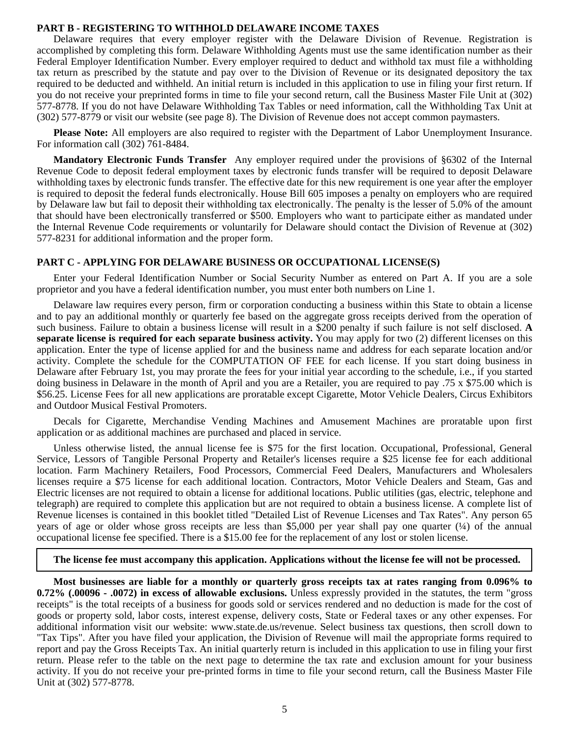#### **PART B - REGISTERING TO WITHHOLD DELAWARE INCOME TAXES**

Delaware requires that every employer register with the Delaware Division of Revenue. Registration is accomplished by completing this form. Delaware Withholding Agents must use the same identification number as their Federal Employer Identification Number. Every employer required to deduct and withhold tax must file a withholding tax return as prescribed by the statute and pay over to the Division of Revenue or its designated depository the tax required to be deducted and withheld. An initial return is included in this application to use in filing your first return. If you do not receive your preprinted forms in time to file your second return, call the Business Master File Unit at (302) 577-8778. If you do not have Delaware Withholding Tax Tables or need information, call the Withholding Tax Unit at (302) 577-8779 or visit our website (see page 8). The Division of Revenue does not accept common paymasters.

**Please Note:** All employers are also required to register with the Department of Labor Unemployment Insurance. For information call (302) 761-8484.

**Mandatory Electronic Funds Transfer** Any employer required under the provisions of §6302 of the Internal Revenue Code to deposit federal employment taxes by electronic funds transfer will be required to deposit Delaware withholding taxes by electronic funds transfer. The effective date for this new requirement is one year after the employer is required to deposit the federal funds electronically. House Bill 605 imposes a penalty on employers who are required by Delaware law but fail to deposit their withholding tax electronically. The penalty is the lesser of 5.0% of the amount that should have been electronically transferred or \$500. Employers who want to participate either as mandated under the Internal Revenue Code requirements or voluntarily for Delaware should contact the Division of Revenue at (302) 577-8231 for additional information and the proper form.

#### **PART C - APPLYING FOR DELAWARE BUSINESS OR OCCUPATIONAL LICENSE(S)**

Enter your Federal Identification Number or Social Security Number as entered on Part A. If you are a sole proprietor and you have a federal identification number, you must enter both numbers on Line 1.

Delaware law requires every person, firm or corporation conducting a business within this State to obtain a license and to pay an additional monthly or quarterly fee based on the aggregate gross receipts derived from the operation of such business. Failure to obtain a business license will result in a \$200 penalty if such failure is not self disclosed. **A separate license is required for each separate business activity.** You may apply for two (2) different licenses on this application. Enter the type of license applied for and the business name and address for each separate location and/or activity. Complete the schedule for the COMPUTATION OF FEE for each license. If you start doing business in Delaware after February 1st, you may prorate the fees for your initial year according to the schedule, i.e., if you started doing business in Delaware in the month of April and you are a Retailer, you are required to pay .75 x \$75.00 which is \$56.25. License Fees for all new applications are proratable except Cigarette, Motor Vehicle Dealers, Circus Exhibitors and Outdoor Musical Festival Promoters.

Decals for Cigarette, Merchandise Vending Machines and Amusement Machines are proratable upon first application or as additional machines are purchased and placed in service.

Unless otherwise listed, the annual license fee is \$75 for the first location. Occupational, Professional, General Service, Lessors of Tangible Personal Property and Retailer's licenses require a \$25 license fee for each additional location. Farm Machinery Retailers, Food Processors, Commercial Feed Dealers, Manufacturers and Wholesalers licenses require a \$75 license for each additional location. Contractors, Motor Vehicle Dealers and Steam, Gas and Electric licenses are not required to obtain a license for additional locations. Public utilities (gas, electric, telephone and telegraph) are required to complete this application but are not required to obtain a business license. A complete list of Revenue licenses is contained in this booklet titled "Detailed List of Revenue Licenses and Tax Rates". Any person 65 years of age or older whose gross receipts are less than \$5,000 per year shall pay one quarter (¼) of the annual occupational license fee specified. There is a \$15.00 fee for the replacement of any lost or stolen license.

**The license fee must accompany this application. Applications without the license fee will not be processed.**

**Most businesses are liable for a monthly or quarterly gross receipts tax at rates ranging from 0.096% to 0.72% (.00096 - .0072) in excess of allowable exclusions.** Unless expressly provided in the statutes, the term "gross receipts" is the total receipts of a business for goods sold or services rendered and no deduction is made for the cost of goods or property sold, labor costs, interest expense, delivery costs, State or Federal taxes or any other expenses. For additional information visit our website: www.state.de.us/revenue. Select business tax questions, then scroll down to "Tax Tips". After you have filed your application, the Division of Revenue will mail the appropriate forms required to report and pay the Gross Receipts Tax. An initial quarterly return is included in this application to use in filing your first return. Please refer to the table on the next page to determine the tax rate and exclusion amount for your business activity. If you do not receive your pre-printed forms in time to file your second return, call the Business Master File Unit at (302) 577-8778.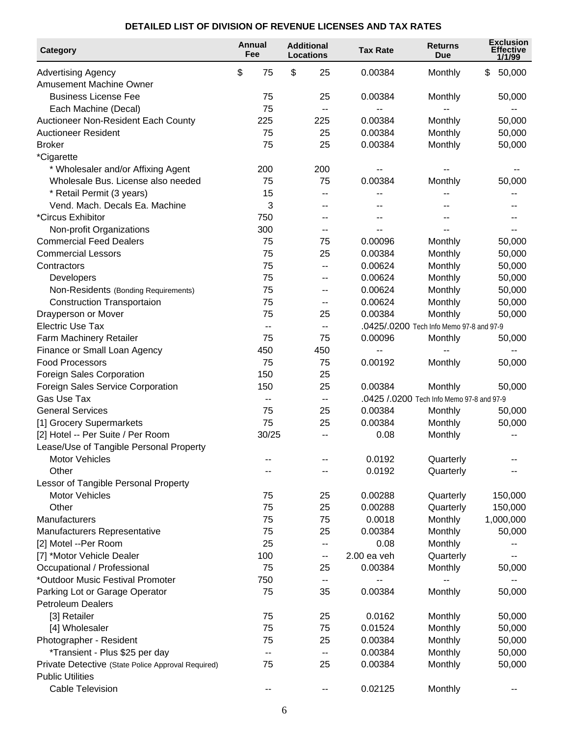### **DETAILED LIST OF DIVISION OF REVENUE LICENSES AND TAX RATES**

| Category                                           | Annual<br>Fee | <b>Additional</b><br><b>Locations</b> | <b>Tax Rate</b> | <b>Returns</b><br>Due                     | <b>Exclusion</b><br><b>Effective</b><br>1/1/99 |
|----------------------------------------------------|---------------|---------------------------------------|-----------------|-------------------------------------------|------------------------------------------------|
| <b>Advertising Agency</b>                          | \$<br>75      | \$<br>25                              | 0.00384         | Monthly                                   | 50,000<br>\$                                   |
| Amusement Machine Owner                            |               |                                       |                 |                                           |                                                |
| <b>Business License Fee</b>                        | 75            | 25                                    | 0.00384         | Monthly                                   | 50,000                                         |
| Each Machine (Decal)                               | 75            |                                       |                 |                                           |                                                |
| Auctioneer Non-Resident Each County                | 225           | 225                                   | 0.00384         | Monthly                                   | 50,000                                         |
| <b>Auctioneer Resident</b>                         | 75            | 25                                    | 0.00384         | Monthly                                   | 50,000                                         |
| <b>Broker</b>                                      | 75            | 25                                    | 0.00384         | Monthly                                   | 50,000                                         |
| *Cigarette                                         |               |                                       |                 |                                           |                                                |
| * Wholesaler and/or Affixing Agent                 | 200           | 200                                   |                 |                                           |                                                |
| Wholesale Bus. License also needed                 | 75            | 75                                    | 0.00384         | Monthly                                   | 50,000                                         |
| * Retail Permit (3 years)                          | 15            |                                       |                 |                                           |                                                |
| Vend. Mach. Decals Ea. Machine                     | 3             | --                                    |                 |                                           |                                                |
| *Circus Exhibitor                                  | 750           |                                       |                 |                                           |                                                |
| Non-profit Organizations                           | 300           |                                       |                 |                                           |                                                |
| <b>Commercial Feed Dealers</b>                     | 75            | 75                                    | 0.00096         | Monthly                                   | 50,000                                         |
| <b>Commercial Lessors</b>                          | 75            | 25                                    | 0.00384         | Monthly                                   | 50,000                                         |
| Contractors                                        | 75            | --                                    | 0.00624         | Monthly                                   | 50,000                                         |
| Developers                                         | 75            | --                                    | 0.00624         | Monthly                                   | 50,000                                         |
| Non-Residents (Bonding Requirements)               | 75            | $-$                                   | 0.00624         | Monthly                                   | 50,000                                         |
| <b>Construction Transportaion</b>                  | 75            |                                       | 0.00624         | Monthly                                   | 50,000                                         |
| Drayperson or Mover                                | 75            | 25                                    | 0.00384         | Monthly                                   | 50,000                                         |
| <b>Electric Use Tax</b>                            | $-$           | $\overline{\phantom{a}}$              |                 | .0425/.0200 Tech Info Memo 97-8 and 97-9  |                                                |
| Farm Machinery Retailer                            | 75            | 75                                    | 0.00096         | Monthly                                   | 50,000                                         |
| Finance or Small Loan Agency                       | 450           | 450                                   |                 |                                           |                                                |
| <b>Food Processors</b>                             | 75            | 75                                    | 0.00192         | Monthly                                   | 50,000                                         |
| Foreign Sales Corporation                          | 150           | 25                                    |                 |                                           |                                                |
| Foreign Sales Service Corporation                  | 150           | 25                                    | 0.00384         | Monthly                                   | 50,000                                         |
| <b>Gas Use Tax</b>                                 | $-$           | $- -$                                 |                 | .0425 /.0200 Tech Info Memo 97-8 and 97-9 |                                                |
| <b>General Services</b>                            | 75            | 25                                    | 0.00384         | Monthly                                   | 50,000                                         |
| [1] Grocery Supermarkets                           | 75            | 25                                    | 0.00384         | Monthly                                   | 50,000                                         |
| [2] Hotel -- Per Suite / Per Room                  | 30/25         | $-$                                   | 0.08            | Monthly                                   |                                                |
| Lease/Use of Tangible Personal Property            |               |                                       |                 |                                           |                                                |
| <b>Motor Vehicles</b>                              |               |                                       | 0.0192          | Quarterly                                 |                                                |
| Other                                              |               |                                       | 0.0192          | Quarterly                                 |                                                |
| Lessor of Tangible Personal Property               |               |                                       |                 |                                           |                                                |
| <b>Motor Vehicles</b>                              | 75            | 25                                    | 0.00288         | Quarterly                                 | 150,000                                        |
| Other                                              | 75            | 25                                    | 0.00288         | Quarterly                                 | 150,000                                        |
| Manufacturers                                      | 75            | 75                                    | 0.0018          | Monthly                                   | 1,000,000                                      |
| Manufacturers Representative                       | 75            | 25                                    | 0.00384         | Monthly                                   | 50,000                                         |
| [2] Motel --Per Room                               | 25            | --                                    | 0.08            | Monthly                                   |                                                |
| [7] *Motor Vehicle Dealer                          | 100           | --                                    | $2.00$ ea veh   | Quarterly                                 |                                                |
| Occupational / Professional                        | 75            | 25                                    | 0.00384         | Monthly                                   | 50,000                                         |
| *Outdoor Music Festival Promoter                   | 750           | ۰.                                    |                 |                                           |                                                |
| Parking Lot or Garage Operator                     | 75            | 35                                    | 0.00384         | Monthly                                   | 50,000                                         |
| <b>Petroleum Dealers</b>                           |               |                                       |                 |                                           |                                                |
| [3] Retailer                                       | 75            | 25                                    | 0.0162          | Monthly                                   | 50,000                                         |
| [4] Wholesaler                                     | 75            | 75                                    | 0.01524         | Monthly                                   | 50,000                                         |
| Photographer - Resident                            | 75            | 25                                    | 0.00384         | Monthly                                   | 50,000                                         |
| *Transient - Plus \$25 per day                     | $-$           | $\overline{\phantom{a}}$              | 0.00384         | Monthly                                   | 50,000                                         |
| Private Detective (State Police Approval Required) | 75            | 25                                    | 0.00384         | Monthly                                   | 50,000                                         |
| <b>Public Utilities</b>                            |               |                                       |                 |                                           |                                                |
| <b>Cable Television</b>                            | --            | --                                    | 0.02125         | Monthly                                   | --                                             |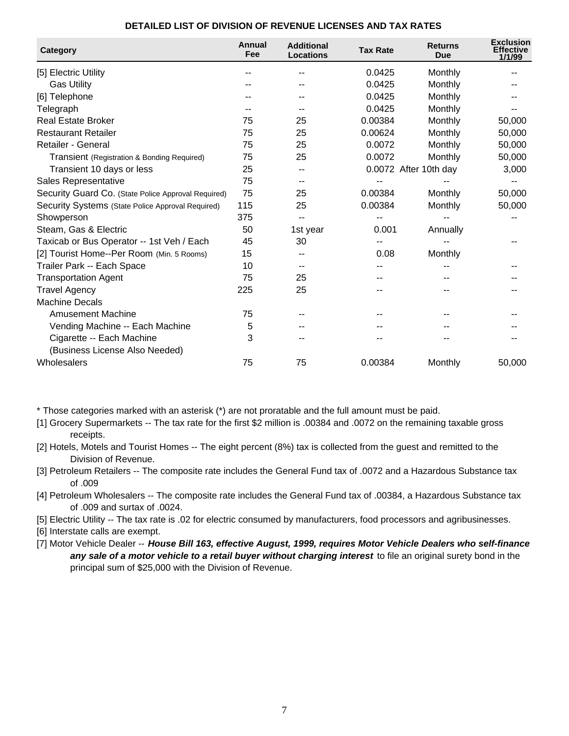| Category                                            | Annual<br>Fee | <b>Additional</b><br><b>Locations</b> | <b>Tax Rate</b> | <b>Returns</b><br>Due | <b>Exclusion</b><br><b>Effective</b><br>1/1/99 |
|-----------------------------------------------------|---------------|---------------------------------------|-----------------|-----------------------|------------------------------------------------|
| [5] Electric Utility                                |               |                                       | 0.0425          | Monthly               |                                                |
| <b>Gas Utility</b>                                  |               |                                       | 0.0425          | Monthly               |                                                |
| [6] Telephone                                       |               |                                       | 0.0425          | Monthly               |                                                |
| Telegraph                                           |               |                                       | 0.0425          | Monthly               |                                                |
| <b>Real Estate Broker</b>                           | 75            | 25                                    | 0.00384         | Monthly               | 50,000                                         |
| <b>Restaurant Retailer</b>                          | 75            | 25                                    | 0.00624         | Monthly               | 50,000                                         |
| Retailer - General                                  | 75            | 25                                    | 0.0072          | Monthly               | 50,000                                         |
| Transient (Registration & Bonding Required)         | 75            | 25                                    | 0.0072          | Monthly               | 50,000                                         |
| Transient 10 days or less                           | 25            |                                       |                 | 0.0072 After 10th day | 3,000                                          |
| Sales Representative                                | 75            |                                       |                 |                       |                                                |
| Security Guard Co. (State Police Approval Required) | 75            | 25                                    | 0.00384         | Monthly               | 50,000                                         |
| Security Systems (State Police Approval Required)   | 115           | 25                                    | 0.00384         | Monthly               | 50,000                                         |
| Showperson                                          | 375           |                                       |                 |                       |                                                |
| Steam, Gas & Electric                               | 50            | 1st year                              | 0.001           | Annually              |                                                |
| Taxicab or Bus Operator -- 1st Veh / Each           | 45            | 30                                    |                 |                       |                                                |
| [2] Tourist Home--Per Room (Min. 5 Rooms)           | 15            |                                       | 0.08            | Monthly               |                                                |
| Trailer Park -- Each Space                          | 10            |                                       |                 |                       |                                                |
| <b>Transportation Agent</b>                         | 75            | 25                                    |                 |                       |                                                |
| <b>Travel Agency</b>                                | 225           | 25                                    |                 |                       |                                                |
| <b>Machine Decals</b>                               |               |                                       |                 |                       |                                                |
| <b>Amusement Machine</b>                            | 75            |                                       |                 |                       |                                                |
| Vending Machine -- Each Machine                     | 5             |                                       |                 |                       |                                                |
| Cigarette -- Each Machine                           | 3             |                                       |                 |                       |                                                |
| (Business License Also Needed)                      |               |                                       |                 |                       |                                                |
| Wholesalers                                         | 75            | 75                                    | 0.00384         | Monthly               | 50,000                                         |

\* Those categories marked with an asterisk (\*) are not proratable and the full amount must be paid.

- [1] Grocery Supermarkets -- The tax rate for the first \$2 million is .00384 and .0072 on the remaining taxable gross receipts.
- [2] Hotels, Motels and Tourist Homes -- The eight percent (8%) tax is collected from the guest and remitted to the Division of Revenue.
- [3] Petroleum Retailers -- The composite rate includes the General Fund tax of .0072 and a Hazardous Substance tax of .009
- [4] Petroleum Wholesalers -- The composite rate includes the General Fund tax of .00384, a Hazardous Substance tax of .009 and surtax of .0024.
- [5] Electric Utility -- The tax rate is .02 for electric consumed by manufacturers, food processors and agribusinesses.

[6] Interstate calls are exempt.

[7] Motor Vehicle Dealer -- **House Bill 163, effective August, 1999, requires Motor Vehicle Dealers who self-finance any sale of a motor vehicle to a retail buyer without charging interest** to file an original surety bond in the principal sum of \$25,000 with the Division of Revenue.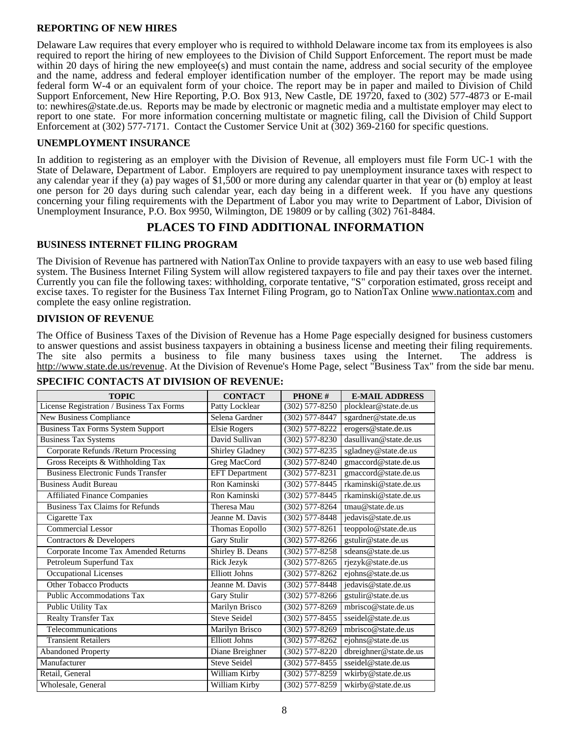### **REPORTING OF NEW HIRES**

Delaware Law requires that every employer who is required to withhold Delaware income tax from its employees is also required to report the hiring of new employees to the Division of Child Support Enforcement. The report must be made within 20 days of hiring the new employee(s) and must contain the name, address and social security of the employee and the name, address and federal employer identification number of the employer. The report may be made using federal form W-4 or an equivalent form of your choice. The report may be in paper and mailed to Division of Child Support Enforcement, New Hire Reporting, P.O. Box 913, New Castle, DE 19720, faxed to (302) 577-4873 or E-mail to: newhires@state.de.us. Reports may be made by electronic or magnetic media and a multistate employer may elect to report to one state. For more information concerning multistate or magnetic filing, call the Division of Child Support Enforcement at (302) 577-7171. Contact the Customer Service Unit at (302) 369-2160 for specific questions.

### **UNEMPLOYMENT INSURANCE**

In addition to registering as an employer with the Division of Revenue, all employers must file Form UC-1 with the State of Delaware, Department of Labor. Employers are required to pay unemployment insurance taxes with respect to any calendar year if they (a) pay wages of \$1,500 or more during any calendar quarter in that year or (b) employ at least one person for 20 days during such calendar year, each day being in a different week. If you have any questions concerning your filing requirements with the Department of Labor you may write to Department of Labor, Division of Unemployment Insurance, P.O. Box 9950, Wilmington, DE 19809 or by calling (302) 761-8484.

### **PLACES TO FIND ADDITIONAL INFORMATION**

### **BUSINESS INTERNET FILING PROGRAM**

The Division of Revenue has partnered with NationTax Online to provide taxpayers with an easy to use web based filing system. The Business Internet Filing System will allow registered taxpayers to file and pay their taxes over the internet. Currently you can file the following taxes: withholding, corporate tentative, "S" corporation estimated, gross receipt and excise taxes. To register for the Business Tax Internet Filing Program, go to NationTax Online www.nationtax.com and complete the easy online registration.

#### **DIVISION OF REVENUE**

The Office of Business Taxes of the Division of Revenue has a Home Page especially designed for business customers to answer questions and assist business taxpayers in obtaining a business license and meeting their filing requirements. The site also permits a business to file many business taxes using the Internet. The address is http://www.state.de.us/revenue. At the Division of Revenue's Home Page, select "Business Tax" from the side bar menu.

| <b>TOPIC</b>                              | <b>CONTACT</b>        | <b>PHONE#</b>           | <b>E-MAIL ADDRESS</b>     |
|-------------------------------------------|-----------------------|-------------------------|---------------------------|
| License Registration / Business Tax Forms | Patty Locklear        | $(302)$ 577-8250        | plocklear@state.de.us     |
| New Business Compliance                   | Selena Gardner        | $(302)$ 577-8447        | sgardner@state.de.us      |
| <b>Business Tax Forms System Support</b>  | <b>Elsie Rogers</b>   | $(302)$ 577-8222        | erogers@state.de.us       |
| Business Tax Systems                      | David Sullivan        | $(302)$ 577-8230        | $d$ asullivan@state.de.us |
| Corporate Refunds / Return Processing     | Shirley Gladney       | $(302)$ 577-8235        | sgladney@state.de.us      |
| Gross Receipts & Withholding Tax          | Greg MacCord          | $(302)$ 577-8240        | gmaccord@state.de.us      |
| <b>Business Electronic Funds Transfer</b> | <b>EFT</b> Department | $(302)$ 577-8231        | gmaccord@state.de.us      |
| <b>Business Audit Bureau</b>              | Ron Kaminski          | $(302)$ 577-8445        | rkaminski@state.de.us     |
| <b>Affiliated Finance Companies</b>       | Ron Kaminski          | $(302)$ 577-8445        | rkaminski@state.de.us     |
| <b>Business Tax Claims for Refunds</b>    | Theresa Mau           | $\sqrt{(302)}$ 577-8264 | tmau@state.de.us          |
| Cigarette Tax                             | Jeanne M. Davis       | $(302)$ 577-8448        | jedavis@state.de.us       |
| Commercial Lessor                         | Thomas Eopollo        | $(302)$ 577-8261        | teoppolo@state.de.us      |
| Contractors & Developers                  | Gary Stulir           | $(302)$ 577-8266        | gstulir@state.de.us       |
| Corporate Income Tax Amended Returns      | Shirley B. Deans      | $(302)$ 577-8258        | sdeans@state.de.us        |
| Petroleum Superfund Tax                   | Rick Jezyk            | $(302)$ 577-8265        | rjezyk@state.de.us        |
| <b>Occupational Licenses</b>              | <b>Elliott Johns</b>  | $(302)$ 577-8262        | ejohns@state.de.us        |
| Other Tobacco Products                    | Jeanne M. Davis       | $(302)$ 577-8448        | jedavis@state.de.us       |
| <b>Public Accommodations Tax</b>          | Gary Stulir           | $(302)$ 577-8266        | gstulir@state.de.us       |
| Public Utility Tax                        | Marilyn Brisco        | $(302)$ 577-8269        | mbrisco@state.de.us       |
| Realty Transfer Tax                       | <b>Steve Seidel</b>   | $(302)$ 577-8455        | sseidel@state.de.us       |
| Telecommunications                        | Marilyn Brisco        | $(302) 577 - 8269$      | mbrisco@state.de.us       |
| <b>Transient Retailers</b>                | <b>Elliott Johns</b>  | $(302)$ 577-8262        | ejohns@state.de.us        |
| <b>Abandoned Property</b>                 | Diane Breighner       | $(302)$ 577-8220        | dbreighner@state.de.us    |
| Manufacturer                              | <b>Steve Seidel</b>   | $(302)$ 577-8455        | sseidel@state.de.us       |
| Retail, General                           | William Kirby         | $(302)$ 577-8259        | wkirby@state.de.us        |
| Wholesale, General                        | William Kirby         | $(302)$ 577-8259        | wkirby@state.de.us        |

### **SPECIFIC CONTACTS AT DIVISION OF REVENUE:**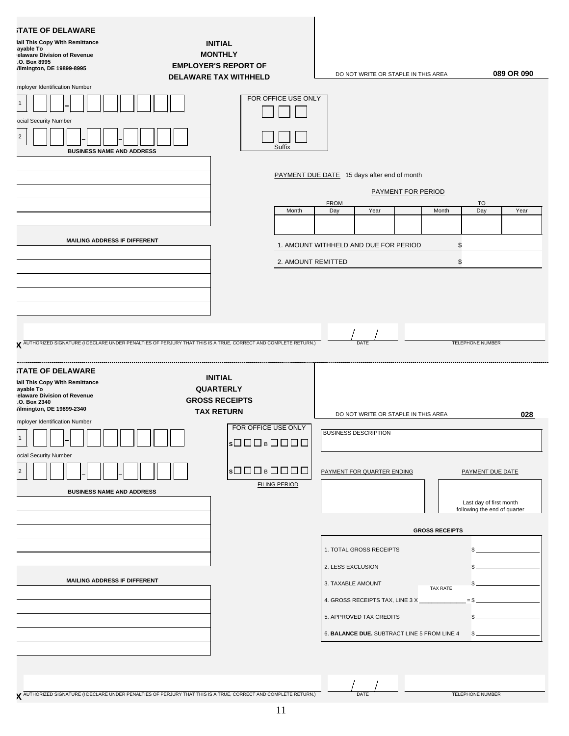### **STATE OF DELAWARE**

**Mail This Copy With Remittance Payable To Delaware Division of Revenue**

| .O. Box 8995<br>/ilmington, DE 19899-8995                                                                                         | <b>EMPLOYER'S REPORT OF</b><br><b>DELAWARE TAX WITHHELD</b>                                                                                           | DO NOT WRITE OR STAPLE IN THIS AREA                                                                                                                                   | 089 OR 090                                                                  |
|-----------------------------------------------------------------------------------------------------------------------------------|-------------------------------------------------------------------------------------------------------------------------------------------------------|-----------------------------------------------------------------------------------------------------------------------------------------------------------------------|-----------------------------------------------------------------------------|
| mployer Identification Number<br>ocial Security Number<br><b>BUSINESS NAME AND ADDRESS</b><br><b>MAILING ADDRESS IF DIFFERENT</b> | FOR OFFICE USE ONLY<br>Suffix<br>Month                                                                                                                | PAYMENT DUE DATE 15 days after end of month<br><b>PAYMENT FOR PERIOD</b><br><b>FROM</b><br>Day<br>Year<br>1. AMOUNT WITHHELD AND DUE FOR PERIOD<br>2. AMOUNT REMITTED | <b>TO</b><br>Day<br>Month<br>Year<br>\$<br>\$                               |
| <b>STATE OF DELAWARE</b><br>lail This Copy With Remittance<br>ayable To                                                           | X AUTHORIZED SIGNATURE (I DECLARE UNDER PENALTIES OF PERJURY THAT THIS IS A TRUE, CORRECT AND COMPLETE RETURN.)<br><b>INITIAL</b><br><b>QUARTERLY</b> | DATE                                                                                                                                                                  | <b>TELEPHONE NUMBER</b>                                                     |
| elaware Division of Revenue<br>.O. Box 2340<br>/ilmington, DE 19899-2340<br>mployer Identification Number                         | <b>GROSS RECEIPTS</b><br><b>TAX RETURN</b><br>FOR OFFICE USE ONLY<br> s□□□□ B□□□□                                                                     | DO NOT WRITE OR STAPLE IN THIS AREA<br><b>BUSINESS DESCRIPTION</b>                                                                                                    | 028                                                                         |
| ocial Security Number<br>$\overline{2}$<br>┙╙<br><b>BUSINESS NAME AND ADDRESS</b>                                                 | s□□□s□□□□<br><b>FILING PERIOD</b>                                                                                                                     | PAYMENT FOR QUARTER ENDING                                                                                                                                            | PAYMENT DUE DATE<br>Last day of first month<br>following the end of quarter |
|                                                                                                                                   |                                                                                                                                                       | <b>GROSS RECEIPTS</b><br>1. TOTAL GROSS RECEIPTS                                                                                                                      |                                                                             |
| MAILING ADDRESS IF DIFFERENT                                                                                                      |                                                                                                                                                       | 2. LESS EXCLUSION<br>3. TAXABLE AMOUNT<br>4. GROSS RECEIPTS TAX, LINE 3 X<br>5. APPROVED TAX CREDITS<br>6. BALANCE DUE. SUBTRACT LINE 5 FROM LINE 4                   | TAX RATE<br>\$.                                                             |
|                                                                                                                                   | V AUTHORIZED SIGNATURE (I DECLARE UNDER PENALTIES OF PERJURY THAT THIS IS A TRUE, CORRECT AND COMPLETE RETURN.)                                       | DATE                                                                                                                                                                  | <b>TELEPHONE NUMBER</b>                                                     |

**INITIAL MONTHLY**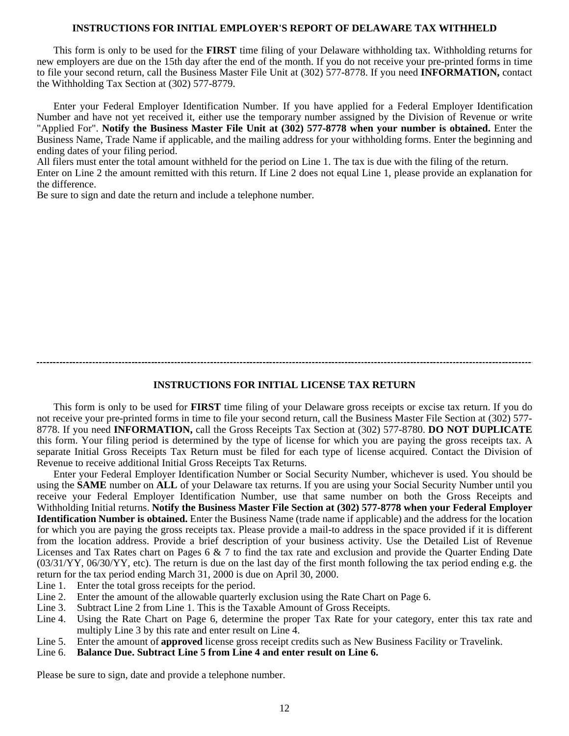#### **INSTRUCTIONS FOR INITIAL EMPLOYER'S REPORT OF DELAWARE TAX WITHHELD**

This form is only to be used for the **FIRST** time filing of your Delaware withholding tax. Withholding returns for new employers are due on the 15th day after the end of the month. If you do not receive your pre-printed forms in time to file your second return, call the Business Master File Unit at (302) 577-8778. If you need **INFORMATION,** contact the Withholding Tax Section at (302) 577-8779.

Enter your Federal Employer Identification Number. If you have applied for a Federal Employer Identification Number and have not yet received it, either use the temporary number assigned by the Division of Revenue or write "Applied For". **Notify the Business Master File Unit at (302) 577-8778 when your number is obtained.** Enter the Business Name, Trade Name if applicable, and the mailing address for your withholding forms. Enter the beginning and ending dates of your filing period.

All filers must enter the total amount withheld for the period on Line 1. The tax is due with the filing of the return. Enter on Line 2 the amount remitted with this return. If Line 2 does not equal Line 1, please provide an explanation for the difference.

Be sure to sign and date the return and include a telephone number.

#### **INSTRUCTIONS FOR INITIAL LICENSE TAX RETURN**

This form is only to be used for **FIRST** time filing of your Delaware gross receipts or excise tax return. If you do not receive your pre-printed forms in time to file your second return, call the Business Master File Section at (302) 577- 8778. If you need **INFORMATION,** call the Gross Receipts Tax Section at (302) 577-8780. **DO NOT DUPLICATE** this form. Your filing period is determined by the type of license for which you are paying the gross receipts tax. A separate Initial Gross Receipts Tax Return must be filed for each type of license acquired. Contact the Division of Revenue to receive additional Initial Gross Receipts Tax Returns.

Enter your Federal Employer Identification Number or Social Security Number, whichever is used. You should be using the **SAME** number on **ALL** of your Delaware tax returns. If you are using your Social Security Number until you receive your Federal Employer Identification Number, use that same number on both the Gross Receipts and Withholding Initial returns. **Notify the Business Master File Section at (302) 577-8778 when your Federal Employer Identification Number is obtained.** Enter the Business Name (trade name if applicable) and the address for the location for which you are paying the gross receipts tax. Please provide a mail-to address in the space provided if it is different from the location address. Provide a brief description of your business activity. Use the Detailed List of Revenue Licenses and Tax Rates chart on Pages 6 & 7 to find the tax rate and exclusion and provide the Quarter Ending Date  $(03/31/YY, 06/30/YY,$  etc). The return is due on the last day of the first month following the tax period ending e.g. the return for the tax period ending March 31, 2000 is due on April 30, 2000.

- Line 1. Enter the total gross receipts for the period.
- Line 2. Enter the amount of the allowable quarterly exclusion using the Rate Chart on Page 6.
- Line 3. Subtract Line 2 from Line 1. This is the Taxable Amount of Gross Receipts.
- Line 4. Using the Rate Chart on Page 6, determine the proper Tax Rate for your category, enter this tax rate and multiply Line 3 by this rate and enter result on Line 4.
- Line 5. Enter the amount of **approved** license gross receipt credits such as New Business Facility or Travelink.
- Line 6. **Balance Due. Subtract Line 5 from Line 4 and enter result on Line 6.**

Please be sure to sign, date and provide a telephone number.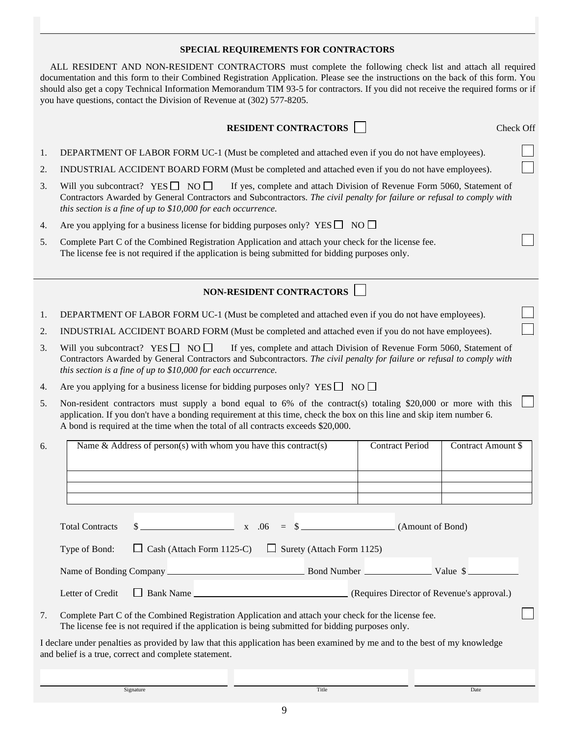#### **SPECIAL REQUIREMENTS FOR CONTRACTORS**

ALL RESIDENT AND NON-RESIDENT CONTRACTORS must complete the following check list and attach all required documentation and this form to their Combined Registration Application. Please see the instructions on the back of this form. You should also get a copy Technical Information Memorandum TIM 93-5 for contractors. If you did not receive the required forms or if you have questions, contact the Division of Revenue at (302) 577-8205.

| <b>RESIDENT CONTRACTORS</b> |
|-----------------------------|
|-----------------------------|

- 1. DEPARTMENT OF LABOR FORM UC-1 (Must be completed and attached even if you do not have employees).
- 2. INDUSTRIAL ACCIDENT BOARD FORM (Must be completed and attached even if you do not have employees).
- Will you subcontract?  $YES \Box NO \Box$ 3. Will you subcontract? YES  $\Box$  NO  $\Box$  If yes, complete and attach Division of Revenue Form 5060, Statement of Contractors Awarded by General Contractors and Subcontractors. *The civil penalty for failure or refusal to comply with this section is a fine of up to \$10,000 for each occurrence.*
- 4. Are you applying for a business license for bidding purposes only?  $YES \Box$  NO
- 5. Complete Part C of the Combined Registration Application and attach your check for the license fee. The license fee is not required if the application is being submitted for bidding purposes only.

### **NON-RESIDENT CONTRACTORS**

1. DEPARTMENT OF LABOR FORM UC-1 (Must be completed and attached even if you do not have employees).

2. INDUSTRIAL ACCIDENT BOARD FORM (Must be completed and attached even if you do not have employees).

- Will you subcontract? YES  $\Box$  NO  $\Box$ 3. Will you subcontract? YES  $\Box$  NO  $\Box$  If yes, complete and attach Division of Revenue Form 5060, Statement of Contractors Awarded by General Contractors and Subcontractors. *The civil penalty for failure or refusal to comply with this section is a fine of up to \$10,000 for each occurrence.*
- 4. Are you applying for a business license for bidding purposes only?  $YES \Box$  NO
- 5. Non-resident contractors must supply a bond equal to 6% of the contract(s) totaling \$20,000 or more with this application. If you don't have a bonding requirement at this time, check the box on this line and skip item number 6. A bond is required at the time when the total of all contracts exceeds \$20,000.

|                        | Name & Address of person(s) with whom you have this contract(s)                                                                                                                                         | <b>Contract Period</b> | Contract Amount \$ |
|------------------------|---------------------------------------------------------------------------------------------------------------------------------------------------------------------------------------------------------|------------------------|--------------------|
|                        |                                                                                                                                                                                                         |                        |                    |
|                        |                                                                                                                                                                                                         |                        |                    |
| <b>Total Contracts</b> | $\frac{\text{S}}{\text{S}}$ (Amount of Bond)                                                                                                                                                            |                        |                    |
| Type of Bond:          | $\Box$ Cash (Attach Form 1125-C)<br>$\Box$ Surety (Attach Form 1125)                                                                                                                                    |                        |                    |
|                        |                                                                                                                                                                                                         |                        |                    |
| Letter of Credit       |                                                                                                                                                                                                         |                        |                    |
| 7.                     | Complete Part C of the Combined Registration Application and attach your check for the license fee.<br>The license fee is not required if the application is being submitted for bidding purposes only. |                        |                    |

I declare under penalties as provided by law that this application has been examined by me and to the best of my knowledge and belief is a true, correct and complete statement.

Signature Title Date

**Check Off**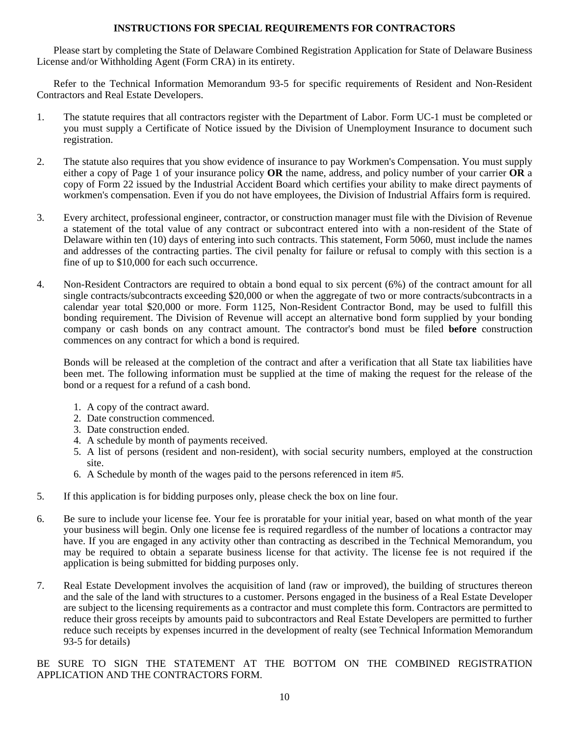### **INSTRUCTIONS FOR SPECIAL REQUIREMENTS FOR CONTRACTORS**

Please start by completing the State of Delaware Combined Registration Application for State of Delaware Business License and/or Withholding Agent (Form CRA) in its entirety.

Refer to the Technical Information Memorandum 93-5 for specific requirements of Resident and Non-Resident Contractors and Real Estate Developers.

- 1. The statute requires that all contractors register with the Department of Labor. Form UC-1 must be completed or you must supply a Certificate of Notice issued by the Division of Unemployment Insurance to document such registration.
- 2. The statute also requires that you show evidence of insurance to pay Workmen's Compensation. You must supply either a copy of Page 1 of your insurance policy **OR** the name, address, and policy number of your carrier **OR** a copy of Form 22 issued by the Industrial Accident Board which certifies your ability to make direct payments of workmen's compensation. Even if you do not have employees, the Division of Industrial Affairs form is required.
- 3. Every architect, professional engineer, contractor, or construction manager must file with the Division of Revenue a statement of the total value of any contract or subcontract entered into with a non-resident of the State of Delaware within ten (10) days of entering into such contracts. This statement, Form 5060, must include the names and addresses of the contracting parties. The civil penalty for failure or refusal to comply with this section is a fine of up to \$10,000 for each such occurrence.
- 4. Non-Resident Contractors are required to obtain a bond equal to six percent (6%) of the contract amount for all single contracts/subcontracts exceeding \$20,000 or when the aggregate of two or more contracts/subcontracts in a calendar year total \$20,000 or more. Form 1125, Non-Resident Contractor Bond, may be used to fulfill this bonding requirement. The Division of Revenue will accept an alternative bond form supplied by your bonding company or cash bonds on any contract amount. The contractor's bond must be filed **before** construction commences on any contract for which a bond is required.

Bonds will be released at the completion of the contract and after a verification that all State tax liabilities have been met. The following information must be supplied at the time of making the request for the release of the bond or a request for a refund of a cash bond.

- 1. A copy of the contract award.
- 2. Date construction commenced.
- 3. Date construction ended.
- 4. A schedule by month of payments received.
- 5. A list of persons (resident and non-resident), with social security numbers, employed at the construction site.
- 6. A Schedule by month of the wages paid to the persons referenced in item #5.
- 5. If this application is for bidding purposes only, please check the box on line four.
- 6. Be sure to include your license fee. Your fee is proratable for your initial year, based on what month of the year your business will begin. Only one license fee is required regardless of the number of locations a contractor may have. If you are engaged in any activity other than contracting as described in the Technical Memorandum, you may be required to obtain a separate business license for that activity. The license fee is not required if the application is being submitted for bidding purposes only.
- 7. Real Estate Development involves the acquisition of land (raw or improved), the building of structures thereon and the sale of the land with structures to a customer. Persons engaged in the business of a Real Estate Developer are subject to the licensing requirements as a contractor and must complete this form. Contractors are permitted to reduce their gross receipts by amounts paid to subcontractors and Real Estate Developers are permitted to further reduce such receipts by expenses incurred in the development of realty (see Technical Information Memorandum 93-5 for details)

BE SURE TO SIGN THE STATEMENT AT THE BOTTOM ON THE COMBINED REGISTRATION APPLICATION AND THE CONTRACTORS FORM.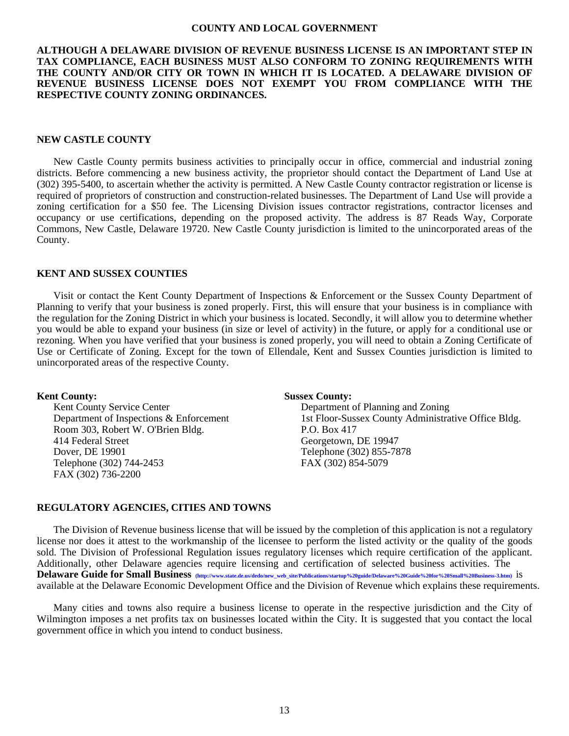#### **COUNTY AND LOCAL GOVERNMENT**

#### **ALTHOUGH A DELAWARE DIVISION OF REVENUE BUSINESS LICENSE IS AN IMPORTANT STEP IN TAX COMPLIANCE, EACH BUSINESS MUST ALSO CONFORM TO ZONING REQUIREMENTS WITH THE COUNTY AND/OR CITY OR TOWN IN WHICH IT IS LOCATED. A DELAWARE DIVISION OF REVENUE BUSINESS LICENSE DOES NOT EXEMPT YOU FROM COMPLIANCE WITH THE RESPECTIVE COUNTY ZONING ORDINANCES.**

#### **NEW CASTLE COUNTY**

New Castle County permits business activities to principally occur in office, commercial and industrial zoning districts. Before commencing a new business activity, the proprietor should contact the Department of Land Use at (302) 395-5400, to ascertain whether the activity is permitted. A New Castle County contractor registration or license is required of proprietors of construction and construction-related businesses. The Department of Land Use will provide a zoning certification for a \$50 fee. The Licensing Division issues contractor registrations, contractor licenses and occupancy or use certifications, depending on the proposed activity. The address is 87 Reads Way, Corporate Commons, New Castle, Delaware 19720. New Castle County jurisdiction is limited to the unincorporated areas of the County.

#### **KENT AND SUSSEX COUNTIES**

Visit or contact the Kent County Department of Inspections & Enforcement or the Sussex County Department of Planning to verify that your business is zoned properly. First, this will ensure that your business is in compliance with the regulation for the Zoning District in which your business is located. Secondly, it will allow you to determine whether you would be able to expand your business (in size or level of activity) in the future, or apply for a conditional use or rezoning. When you have verified that your business is zoned properly, you will need to obtain a Zoning Certificate of Use or Certificate of Zoning. Except for the town of Ellendale, Kent and Sussex Counties jurisdiction is limited to unincorporated areas of the respective County.

Room 303, Robert W. O'Brien Bldg. P.O. Box 417<br>414 Federal Street Georgetown, Dover, DE 19901 Telephone (302) 855-7878 Telephone (302) 744-2453 FAX (302) 854-5079 FAX (302) 736-2200

#### **Kent County: Sussex County:**

Kent County Service Center **Department of Planning and Zoning** Department of Inspections & Enforcement 1st Floor-Sussex County Administrative Office Bldg. Georgetown, DE 19947

#### **REGULATORY AGENCIES, CITIES AND TOWNS**

The Division of Revenue business license that will be issued by the completion of this application is not a regulatory license nor does it attest to the workmanship of the licensee to perform the listed activity or the quality of the goods sold. The Division of Professional Regulation issues regulatory licenses which require certification of the applicant. Additionally, other Delaware agencies require licensing and certification of selected business activities. The **Delaware Guide for Small Business [\(http://www.state.de.us/dedo/new\\_web\\_site/Publications/startup%20guide/Delaware%20Guide%20for%20Small%20Business-3.htm\)](http://www.state.de.us/dedo/new_web_site/Publications/startup%20guide/Delaware%20Guide%20for%20Small%20Business-3.htm)** is available at the Delaware Economic Development Office and the Division of Revenue which explains these requirements.

Many cities and towns also require a business license to operate in the respective jurisdiction and the City of Wilmington imposes a net profits tax on businesses located within the City. It is suggested that you contact the local government office in which you intend to conduct business.